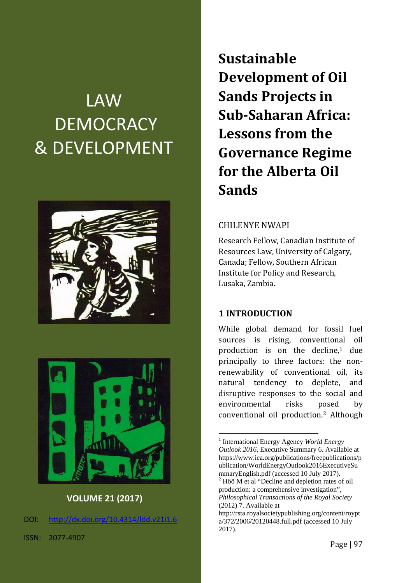# **LAW DEMOCRACY** & DEVELOPMENT





# **VOLUME 21 (2017)**

- <span id="page-0-1"></span><span id="page-0-0"></span>DOI: [http://dx.doi.org/10.4314/ldd.v21i1.6](http://dx.doi.org/10.4314/ldd.v21i1.)
- ISSN: 2077-4907

**Sustainable Development of Oil Sands Projects in Sub-Saharan Africa: Lessons from the Governance Regime for the Alberta Oil Sands**

#### CHILENYE NWAPI

Research Fellow, Canadian Institute of Resources Law, University of Calgary, Canada; Fellow, Southern African Institute for Policy and Research, Lusaka, Zambia.

### **1 INTRODUCTION**

<u>.</u>

While global demand for fossil fuel sources is rising, conventional oil production is on the decline,<sup>[1](#page-0-0)</sup> due principally to three factors: the nonrenewability of conventional oil, its natural tendency to deplete, and disruptive responses to the social and environmental risks p[o](#page-0-1)sed by conventional oil production.2 Although

<sup>1</sup> International Energy Agency *World Energy Outlook 2016*, Executive Summary 6. Available at https://www.iea.org/publications/freepublications/p ublication/WorldEnergyOutlook2016ExecutiveSu<br>mmaryEnglish.pdf (accessed 10 July 2017).

 $2$ <sup>2</sup> Höö M et al "Decline and depletion rates of oil production: a comprehensive investigation", *Philosophical Transactions of the Royal Society* (2012) 7. Available at

http://rsta.royalsocietypublishing.org/content/roypt a/372/2006/20120448.full.pdf (accessed 10 July 2017).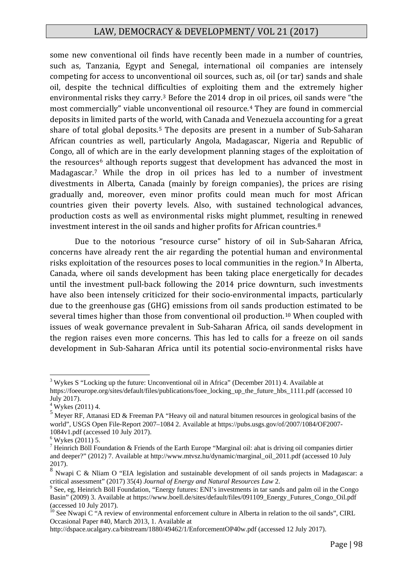some new conventional oil finds have recently been made in a number of countries, such as, Tanzania, Egypt and Senegal, international oil companies are intensely competing for access to unconventional oil sources, such as, oil (or tar) sands and shale oil, despite the technical diffi[c](#page-1-0)ulties of exploiting them and the extremely higher environmental risks they carry.3 Before the 2014 drop in oil prices, oil sands were "the most commercially" viable unconventional oil resource.[4](#page-1-1) They are found in commercial deposits in limited parts of the [w](#page-1-2)orld, with Canada and Venezuela accounting for a great share of total global deposits.5 The deposits are present in a number of Sub-Saharan African countries as well, particularly Angola, Madagascar, Nigeria and Republic of Congo, all of which are in the early development planning stages of the exploitation of the r[es](#page-1-4)ources<sup> $6$ </sup> although reports suggest that development has advanced the most in Madagascar.7 While the drop in oil prices has led to a number of investment divestments in Alberta, Canada (mainly by foreign companies), the prices are rising gradually and, moreover, even minor profits could mean much for most African countries given their poverty levels. Also, with sustained technological advances, production costs as well as environmental risks might plummet, resultin[g](#page-1-5) in renewed investment interest in the oil sands and higher profits for African countries.8

Due to the notorious "resource curse" history of oil in Sub-Saharan Africa, concerns have already rent the air regarding the potential human and environmental risks exploitation of the resources poses to local communities in the region.[9](#page-1-6) In Alberta, Canada, where oil sands development has been taking place energetically for decades until the investment pull-back following the 2014 price downturn, such investments have also been intensely criticized for their socio-environmental impacts, particularly due to the greenhouse gas (GHG) emissions from oil sands production estimated to be several times higher than those from conventional oil production.[10](#page-1-7) When coupled with issues of weak governance prevalent in Sub-Saharan Africa, oil sands development in the region raises even more concerns. This has led to calls for a freeze on oil sands development in Sub-Saharan Africa until its potential socio-environmental risks have

1

<span id="page-1-0"></span><sup>&</sup>lt;sup>3</sup> Wykes S "Locking up the future: Unconventional oil in Africa" (December 2011) 4. Available at https://foeeurope.org/sites/default/files/publications/foee\_locking\_up\_the\_future\_hbs\_1111.pdf (accessed 10 July 2017).

<span id="page-1-1"></span> $4$  Wykes (2011) 4.

<span id="page-1-2"></span><sup>5</sup> Meyer RF, Attanasi ED & Freeman PA "Heavy oil and natural bitumen resources in geological basins of the world", USGS Open File-Report 2007–1084 2. Available at https://pubs.usgs.gov/of/2007/1084/OF2007- 1084v1.pdf (accessed 10 July 2017). 6 Wykes (2011) 5.

<span id="page-1-4"></span><span id="page-1-3"></span><sup>&</sup>lt;sup>7</sup> Heinrich Böll Foundation & Friends of the Earth Europe "Marginal oil: ahat is driving oil companies dirtier and deeper?" (2012) 7. Available at http://www.mtvsz.hu/dynamic/marginal\_oil\_2011.pdf (accessed 10 July 2017).

<span id="page-1-5"></span><sup>8</sup> Nwapi C & Nliam O "EIA legislation and sustainable development of oil sands projects in Madagascar: a critical assessment" (2017) 35(4) Journal of Energy and Natural Resources Law 2.

<span id="page-1-6"></span><sup>&</sup>lt;sup>9</sup> See, eg, Heinrich Böll Foundation, "Energy futures: ENI's investments in tar sands and palm oil in the Congo Basin" (2009) 3. Available at https://www.boell.de/sites/default/files/091109\_Energy\_Futures\_Congo\_Oil.pdf (accessed 10 July 2017).

<span id="page-1-7"></span><sup>&</sup>lt;sup>10</sup> See Nwapi C "A review of environmental enforcement culture in Alberta in relation to the oil sands", CIRL Occasional Paper #40, March 2013, 1. Available at

http://dspace.ucalgary.ca/bitstream/1880/49462/1/EnforcementOP40w.pdf (accessed 12 July 2017).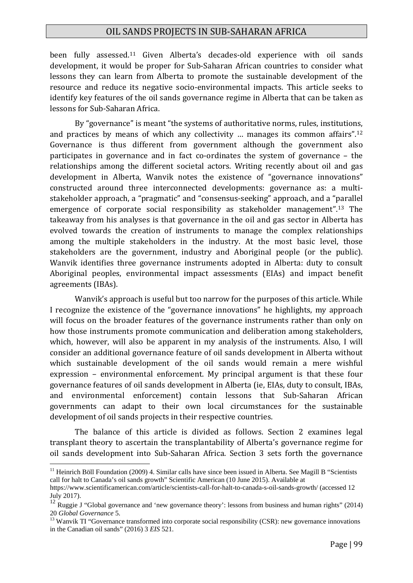been fully assessed.<sup>[11](#page-2-0)</sup> Given Alberta's decades-old experience with oil sands development, it would be proper for Sub-Saharan African countries to consider what lessons they can learn from Alberta to promote the sustainable development of the resource and reduce its negative socio-environmental impacts. This article seeks to identify key features of the oil sands governance regime in Alberta that can be taken as lessons for Sub-Saharan Africa.

By "governance" is meant "the systems of authoritative norms, rules, institutions, and practices by means of which any collectivity … manages its common affairs".[12](#page-2-1) Governance is thus different from government although the government also participates in governance and in fact co-ordinates the system of governance – the relationships among the different societal actors. Writing recently about oil and gas development in Alberta, Wanvik notes the existence of "governance innovations" constructed around three interconnected developments: governance as: a multistakeholder approach, a "pragmatic" and "consensus-seeking" approach, and a "parallel emergence of corporate social responsibility as stakeholder management".[13](#page-2-2) The takeaway from his analyses is that governance in the oil and gas sector in Alberta has evolved towards the creation of instruments to manage the complex relationships among the multiple stakeholders in the industry. At the most basic level, those stakeholders are the government, industry and Aboriginal people (or the public). Wanvik identifies three governance instruments adopted in Alberta: duty to consult Aboriginal peoples, environmental impact assessments (EIAs) and impact benefit agreements (IBAs).

Wanvik's approach is useful but too narrow for the purposes of this article. While I recognize the existence of the "governance innovations" he highlights, my approach will focus on the broader features of the governance instruments rather than only on how those instruments promote communication and deliberation among stakeholders, which, however, will also be apparent in my analysis of the instruments. Also, I will consider an additional governance feature of oil sands development in Alberta without which sustainable development of the oil sands would remain a mere wishful expression – environmental enforcement. My principal argument is that these four governance features of oil sands development in Alberta (ie, EIAs, duty to consult, IBAs, and environmental enforcement) contain lessons that Sub-Saharan African governments can adapt to their own local circumstances for the sustainable development of oil sands projects in their respective countries.

The balance of this article is divided as follows. Section 2 examines legal transplant theory to ascertain the transplantability of Alberta's governance regime for oil sands development into Sub-Saharan Africa. Section 3 sets forth the governance

<span id="page-2-0"></span> $11$  Heinrich Böll Foundation (2009) 4. Similar calls have since been issued in Alberta. See Magill B "Scientists call for halt to Canada's oil sands growth" Scientific American (10 June 2015). Available at

https://www.scientificamerican.com/article/scientists-call-for-halt-to-canada-s-oil-sands-growth/ (accessed 12 July 2017).

<span id="page-2-1"></span><sup>&</sup>lt;sup>12</sup> Ruggie J "Global governance and 'new governance theory': lessons from business and human rights" (2014) 20*Global Governance* 5.<br><sup>13</sup> Wanvik TI "Governance transformed into corporate social responsibility (CSR): new governance innovations

<span id="page-2-2"></span>in the Canadian oil sands" (2016) 3 *EIS* 521.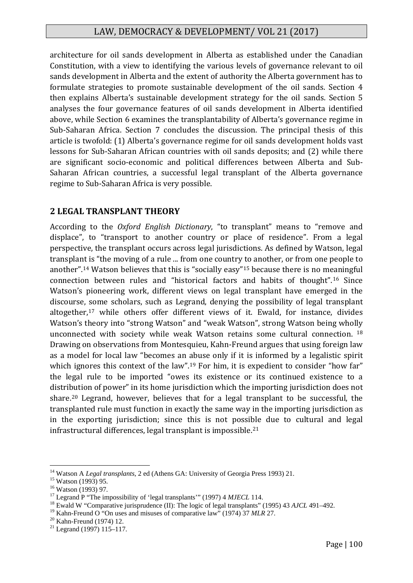architecture for oil sands development in Alberta as established under the Canadian Constitution, with a view to identifying the various levels of governance relevant to oil sands development in Alberta and the extent of authority the Alberta government has to formulate strategies to promote sustainable development of the oil sands. Section 4 then explains Alberta's sustainable development strategy for the oil sands. Section 5 analyses the four governance features of oil sands development in Alberta identified above, while Section 6 examines the transplantability of Alberta's governance regime in Sub-Saharan Africa. Section 7 concludes the discussion. The principal thesis of this article is twofold: (1) Alberta's governance regime for oil sands development holds vast lessons for Sub-Saharan African countries with oil sands deposits; and (2) while there are significant socio-economic and political differences between Alberta and Sub-Saharan African countries, a successful legal transplant of the Alberta governance regime to Sub-Saharan Africa is very possible.

# **2 LEGAL TRANSPLANT THEORY**

According to the *Oxford English Dictionary*, "to transplant" means to "remove and displace", to "transport to another country or place of residence". From a legal perspective, the transplant occurs across legal jurisdictions. As defined by Watson, legal transplant is "the moving of a rule ... from one country to another, or from one people to another".[14](#page-3-0) Watson believes that this is "socially easy"[15](#page-3-1) because there is no meaningful connection between rules and "historical factors and habits of thought".[16](#page-3-2) Since Watson's pioneering work, different views on legal transplant have emerged in the discourse, some scholars, such as Legrand, denying the possibility of legal transplant altogether,[17](#page-3-3) while others offer different views of it. Ewald, for instance, divides Watson's theory into "strong Watson" and "weak Watson", strong Watson being who[lly](#page-3-4) unconnected with society while weak Watson retains some cultural connection. <sup>18</sup> Drawing on observations from Montesquieu, Kahn-Freund argues that using foreign law as a model for local law "becomes an abuse only if it is informed by a legalistic spirit which ignores this context of the law".<sup>[19](#page-3-5)</sup> For him, it is expedient to consider "how far" the legal rule to be imported "owes its existence or its continued existence to a distribution of power" in its home jurisdiction which the importing jurisdiction does not share.[20](#page-3-6) Legrand, however, believes that for a legal transplant to be successful, the transplanted rule must function in exactly the same way in the importing jurisdiction as in the exporting jurisdiction; since this is not possible due to cultural and legal infrastructural differences, legal transplant is impossible.[21](#page-3-7)

<span id="page-3-0"></span><sup>&</sup>lt;sup>14</sup> Watson A Legal transplants, 2 ed (Athens GA: University of Georgia Press 1993) 21.

<span id="page-3-3"></span>

<span id="page-3-2"></span><span id="page-3-1"></span><sup>&</sup>lt;sup>15</sup> Watson (1993) 95.<br><sup>16</sup> Watson (1993) 97.<br><sup>17</sup> Legrand P "The impossibility of 'legal transplants'" (1997) 4 *MJECL* 114.<br><sup>18</sup> Ewald W "Comparative iurisprudence (II): The logic of legal transplants" (1995) 43 *AJCL*

<span id="page-3-5"></span><span id="page-3-4"></span><sup>&</sup>lt;sup>19</sup> Kahn-Freund O "On uses and misuses of comparative law" (1974) 37 *MLR* 27.<br><sup>20</sup> Kahn-Freund (1974) 12.<br><sup>21</sup> Legrand (1997) 115–117.

<span id="page-3-6"></span>

<span id="page-3-7"></span>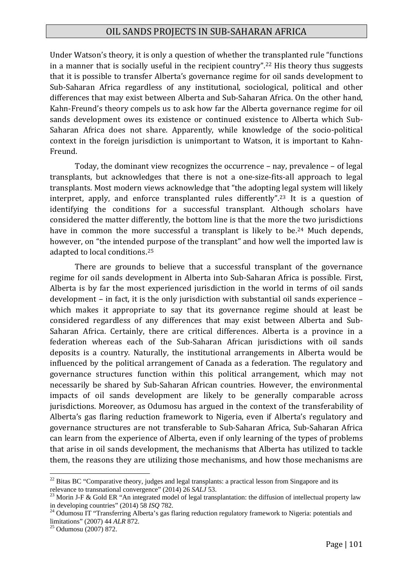Under Watson's theory, it is only a question of whether the transplanted rule "functions in a manner that is socially useful in the recipient country".<sup>[22](#page-4-0)</sup> His theory thus suggests that it is possible to transfer Alberta's governance regime for oil sands development to Sub-Saharan Africa regardless of any institutional, sociological, political and other differences that may exist between Alberta and Sub-Saharan Africa. On the other hand, Kahn-Freund's theory compels us to ask how far the Alberta governance regime for oil sands development owes its existence or continued existence to Alberta which Sub-Saharan Africa does not share. Apparently, while knowledge of the socio-political context in the foreign jurisdiction is unimportant to Watson, it is important to Kahn-Freund.

Today, the dominant view recognizes the occurrence – nay, prevalence – of legal transplants, but acknowledges that there is not a one-size-fits-all approach to legal transplants. Most modern views acknowledge that "the adopting legal system will likely interpret, apply, and enforce transplanted rules differently".[23](#page-4-1) It is a question of identifying the conditions for a successful transplant. Although scholars have considered the matter differently, the bottom line is that the more the two jurisdictions have in common the more successful a transplant is likely to be.<sup>[24](#page-4-2)</sup> Much depends, however, on "the intended purpose of the transplant" and how well the imported law is adapted to local conditions.[25](#page-4-3)

There are grounds to believe that a successful transplant of the governance regime for oil sands development in Alberta into Sub-Saharan Africa is possible. First, Alberta is by far the most experienced jurisdiction in the world in terms of oil sands development – in fact, it is the only jurisdiction with substantial oil sands experience – which makes it appropriate to say that its governance regime should at least be considered regardless of any differences that may exist between Alberta and Sub-Saharan Africa. Certainly, there are critical differences. Alberta is a province in a federation whereas each of the Sub-Saharan African jurisdictions with oil sands deposits is a country. Naturally, the institutional arrangements in Alberta would be influenced by the political arrangement of Canada as a federation. The regulatory and governance structures function within this political arrangement, which may not necessarily be shared by Sub-Saharan African countries. However, the environmental impacts of oil sands development are likely to be generally comparable across jurisdictions. Moreover, as Odumosu has argued in the context of the transferability of Alberta's gas flaring reduction framework to Nigeria, even if Alberta's regulatory and governance structures are not transferable to Sub-Saharan Africa, Sub-Saharan Africa can learn from the experience of Alberta, even if only learning of the types of problems that arise in oil sands development, the mechanisms that Alberta has utilized to tackle them, the reasons they are utilizing those mechanisms, and how those mechanisms are

<span id="page-4-0"></span> $22$  Bitas BC "Comparative theory, judges and legal transplants: a practical lesson from Singapore and its relevance to transnational convergence" (2014) 26 *SALJ* 53.<br><sup>23</sup> Morin J-F & Gold ER "An integrated model of legal transplantation: the diffusion of intellectual property law -

<span id="page-4-1"></span>

<span id="page-4-2"></span>in developing countries" (2014) 58 *ISQ* 782. <sup>24</sup> Odumosu IT "Transferring Alberta's gas flaring reduction regulatory framework to Nigeria: potentials and limitations" (2007) 44 *ALR* 872.<br><sup>25</sup> Odumosu (2007) 872.

<span id="page-4-3"></span>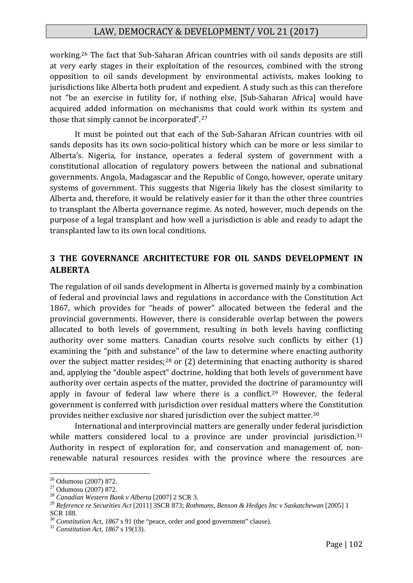working.[26](#page-5-0) The fact that Sub-Saharan African countries with oil sands deposits are still at very early stages in their exploitation of the resources, combined with the strong opposition to oil sands development by environmental activists, makes looking to jurisdictions like Alberta both prudent and expedient. A study such as this can therefore not "be an exercise in futility for, if nothing else, [Sub-Saharan Africa] would have acquired added information on mechanisms that could work within its system and those that simply cannot be incorporated".[27](#page-5-1)

It must be pointed out that each of the Sub-Saharan African countries with oil sands deposits has its own socio-political history which can be more or less similar to Alberta's. Nigeria, for instance, operates a federal system of government with a constitutional allocation of regulatory powers between the national and subnational governments. Angola, Madagascar and the Republic of Congo, however, operate unitary systems of government. This suggests that Nigeria likely has the closest similarity to Alberta and, therefore, it would be relatively easier for it than the other three countries to transplant the Alberta governance regime. As noted, however, much depends on the purpose of a legal transplant and how well a jurisdiction is able and ready to adapt the transplanted law to its own local conditions.

## **3 THE GOVERNANCE ARCHITECTURE FOR OIL SANDS DEVELOPMENT IN ALBERTA**

The regulation of oil sands development in Alberta is governed mainly by a combination of federal and provincial laws and regulations in accordance with the Constitution Act 1867, which provides for "heads of power" allocated between the federal and the provincial governments. However, there is considerable overlap between the powers allocated to both levels of government, resulting in both levels having conflicting authority over some matters. Canadian courts resolve such conflicts by either (1) examining the "pith and substance" of the law to determine where enacting authority over the subject matter resides;[28](#page-5-2) or (2) determining that enacting authority is shared and, applying the "double aspect" doctrine, holding that both levels of government have authority over certain aspects of the matter, provided the doctrine of paramountcy will apply in favour of federal law where there is a conflict.<sup>[29](#page-5-3)</sup> However, the federal government is conferred with jurisdiction over residual matters where the Constitution provides neither exclusive nor shared jurisdiction over the subject matter.[30](#page-5-4)

International and interprovincial matters are generally under federal jurisdiction while matters considered local to a province are under provincial jurisdiction.<sup>31</sup> Authority in respect of exploration for, and conservation and management of, nonrenewable natural resources resides with the province where the resources are

<span id="page-5-0"></span><sup>&</sup>lt;sup>26</sup> Odumosu (2007) 872.

<span id="page-5-1"></span><sup>26</sup> Odumosu (2007) 872. <sup>27</sup> Odumosu (2007) 872. <sup>28</sup> *Canadian Western Bank v Alberta* [2007] 2 SCR 3.

<span id="page-5-3"></span><span id="page-5-2"></span><sup>29</sup> *Reference re Securities Act* [2011] 3SCR 873; *Rothmans, Benson & Hedges Inc v Saskatchewan* [2005] 1 SCR 188.

<span id="page-5-5"></span><span id="page-5-4"></span><sup>&</sup>lt;sup>30</sup> *Constitution Act, 1867* s 91 (the "peace, order and good government" clause). <sup>31</sup> *Constitution Act, 1867* s 19(13).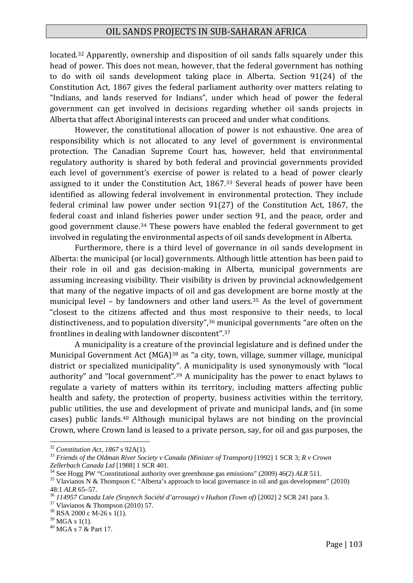located.[32](#page-6-0) Apparently, ownership and disposition of oil sands falls squarely under this head of power. This does not mean, however, that the federal government has nothing to do with oil sands development taking place in Alberta. Section 91(24) of the Constitution Act, 1867 gives the federal parliament authority over matters relating to "Indians, and lands reserved for Indians", under which head of power the federal government can get involved in decisions regarding whether oil sands projects in Alberta that affect Aboriginal interests can proceed and under what conditions.

However, the constitutional allocation of power is not exhaustive. One area of responsibility which is not allocated to any level of government is environmental protection. The Canadian Supreme Court has, however, held that environmental regulatory authority is shared by both federal and provincial governments provided each level of government's exercise of power i[s](#page-6-1) related to a head of power clearly assigned to it under the Constitution Act, 1867. <sup>33</sup> Several heads of power have been identified as allowing federal involvement in environmental protection. They include federal criminal law power under section 91(27) of the Constitution Act, 1867, the federal coast and inland fisheries power under section 91, and the peace, order and good government clause.[34](#page-6-2) These powers have enabled the federal government to get involved in regulating the environmental aspects of oil sands development in Alberta.

Furthermore, there is a third level of governance in oil sands development in Alberta: the municipal (or local) governments. Although little attention has been paid to their role in oil and gas decision-making in Alberta, municipal governments are assuming increasing visibility. Their visibility is driven by provincial acknowledgement that many of the negative impacts of oil and gas development are borne mostly at the municipal level – by landowners and other land users.[35](#page-6-3) As the level of government "closest to the citizens affected and thus most responsive to their needs, to local distinctiveness, and to population diversity",<sup>[36](#page-6-4)</sup> municipal governments "are often on the frontlines in dealing with landowner discontent".[37](#page-6-5)

A municipality is a creature of the provincial legislature and is defined under the Municipal Government Act (MGA)[38](#page-6-6) as "a city, town, village, summer village, municipal district or specialized municipality". A municipality is used synonymously with "local authority" and "local government".[39](#page-6-7) A municipality has the power to enact bylaws to regulate a variety of matters within its territory, including matters affecting public health and safety, the protection of property, business activities within the territory, public utilities, the use and development of private and municipal lands, and (in some cases) public lands.[40](#page-6-8) Although municipal bylaws are not binding on the provincial Crown, where Crown land is leased to a private person, say, for oil and gas purposes, the

<u>.</u>

<span id="page-6-1"></span><span id="page-6-0"></span><sup>&</sup>lt;sup>32</sup> *Constitution Act, 1867* s 92A(1).<br><sup>33</sup> *Friends of the Oldman River Society v Canada (Minister of Transport)* [1992] 1 SCR 3; *R v Crown* Zellerbach Canada Ltd [1988] 1 SCR 401.

<span id="page-6-3"></span><span id="page-6-2"></span><sup>&</sup>lt;sup>34</sup> See Hogg PW "Constitutional authority over greenhouse gas emissions" (2009) 46(2) ALR 511.<br><sup>35</sup> Vlavianos N & Thompson C "Alberta's approach to local governance in oil and gas development" (2010) 48:1 *ALR* 65–57.<br><sup>36</sup> *114957 Canada Ltée (Sraytech Société d'arrosage) v Hudson (Town of)* [2002] 2 SCR 241 para 3.<br><sup>37</sup> Vlavianos & Thompson (2010) 57.<br><sup>38</sup> RSA 2000 c M-26 s 1(1).<br><sup>39</sup> MGA s 1(1).

<span id="page-6-5"></span><span id="page-6-4"></span>

<span id="page-6-6"></span>

<span id="page-6-8"></span><span id="page-6-7"></span> $30$  MGA s 7 & Part 17.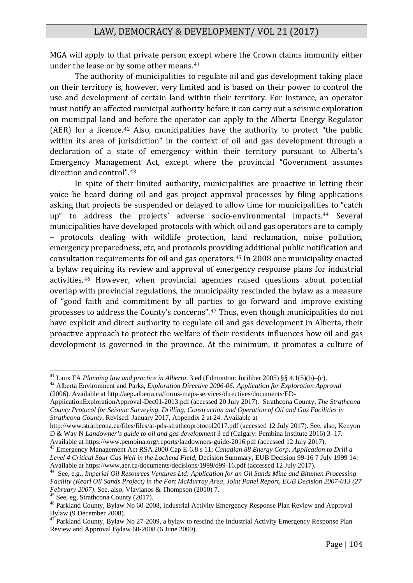MGA will apply to that private person except where the Crown claims immunity either under the lease or by some other means.<sup>[41](#page-7-0)</sup>

The authority of municipalities to regulate oil and gas development taking place on their territory is, however, very limited and is based on their power to control the use and development of certain land within their territory. For instance, an operator must notify an affected municipal authority before it can carry out a seismic exploration on municipal land and before the operator can apply to the Alberta Energy Regulator (AER) for a licence.[42](#page-7-1) Also, municipalities have the authority to protect "the public within its area of jurisdiction" in the context of oil and gas development through a declaration of a state of emergency within their territory pursuant to Alberta's Emergency Management Act, except where the provincial "Government assumes direction and control".[43](#page-7-2)

In spite of their limited authority, municipalities are proactive in letting their voice be heard during oil and gas project approval processes by filing applications asking that projects be suspended or delayed to allow time for municipalities to "catch up" to address the projects' adverse socio-environmental impacts.[44](#page-7-3) Several municipalities have developed protocols with which oil and gas operators are to comply – protocols dealing with wildlife protection, land reclamation, noise pollution, emergency preparedness, etc, and protocols providing additional public notification and consultation requirements for oil and gas operators.[45](#page-7-4) In 2008 one municipality enacted a bylaw requiring its review and approval of emergency response plans for industrial activities.[46](#page-7-5) However, when provincial agencies raised questions about potential overlap with provincial regulations, the municipality rescinded the bylaw as a measure of "good faith and commitment by all parties to go forward and improve existing processes to address the County's concerns".[47](#page-7-6) Thus, even though municipalities do not have explicit and direct authority to regulate oil and gas development in Alberta, their proactive approach to protect the welfare of their residents influences how oil and gas development is governed in the province. At the minimum, it promotes a culture of

http://www.strathcona.ca/files/files/at-pds-strathcoprotocol2017.pdf (accessed 12 July 2017). See, also, Kenyon D & Way N *Landowner's guide to oil and gas development* 3 ed (Calgary: Pembina Institute 2016) 3–17.

Available at https://www.pembina.org/reports/landowners-guide-2016.pdf (accessed 12 July 2017). <sup>43</sup> Emergency Management Act RSA 2000 Cap E-6.8 s 11; *Canadian 88 Energy Corp: Application to Drill a* 

<span id="page-7-0"></span><sup>&</sup>lt;sup>41</sup> Laux FA Planning law and practice in Alberta, 3 ed (Edmonton: Juriliber 2005) §§ 4.1(5)(b)–(c).

<span id="page-7-1"></span><sup>&</sup>lt;sup>42</sup> Alberta Environment and Parks, *Exploration Directive 2006-06: Application for Exploration Approval* (2006). Available at http://aep.alberta.ca/forms-maps-services/directives/documents/ED-

ApplicationExplorationApproval-Dec01-2013.pdf (accessed 20 July 2017). Strathcona County, *The Strathcona County Protocol for Seismic Surveying, Drilling, Construction and Operation of Oil and Gas Facilities in Strathcona County*, Revised: January 2017, Appendix 2 at 24. Available at

<span id="page-7-2"></span>*Level 4 Critical Sour Gas Well in the Lochend Field,* Decision Summary, EUB Decision 99-16 7 July 1999 14. Available at https://www.aer.ca/documents/decisions/1999/d99-16.pdf (accessed 12 July 2017). 44 See, e.g., *Imperial Oil Resources Ventures Ltd: Application for an Oil Sands Mine and Bitumen Processing* 

<span id="page-7-3"></span>*Facility (Kearl Oil Sands Project) in the Fort McMurray Area, Joint Panel Report, EUB Decision 2007-013 (27* 

<span id="page-7-5"></span><span id="page-7-4"></span><sup>&</sup>lt;sup>45</sup> See, eg, Strathcona County (2017). <sup>46</sup> Parkland County, Bylaw No 60-2008, Industrial Activity Emergency Response Plan Review and Approval Bylaw (9 December 2008).

<span id="page-7-6"></span> $47$  Parkland County, Bylaw No 27-2009, a bylaw to rescind the Industrial Activity Emergency Response Plan Review and Approval Bylaw 60-2008 (6 June 2009).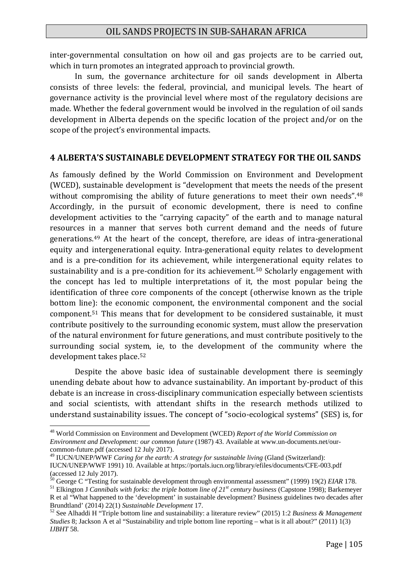inter-governmental consultation on how oil and gas projects are to be carried out, which in turn promotes an integrated approach to provincial growth.

In sum, the governance architecture for oil sands development in Alberta consists of three levels: the federal, provincial, and municipal levels. The heart of governance activity is the provincial level where most of the regulatory decisions are made. Whether the federal government would be involved in the regulation of oil sands development in Alberta depends on the specific location of the project and/or on the scope of the project's environmental impacts.

### **4 ALBERTA'S SUSTAINABLE DEVELOPMENT STRATEGY FOR THE OIL SANDS**

As famously defined by the World Commission on Environment and Development (WCED), sustainable development is "development that meets the needs of the present without compromising the ability of future generations to meet their own needs".<sup>[48](#page-8-0)</sup> Accordingly, in the pursuit of economic development, there is need to confine development activities to the "carrying capacity" of the earth and to manage natural resources in a manner that serves both current demand and the needs of future generations.[49](#page-8-1) At the heart of the concept, therefore, are ideas of intra-generational equity and intergenerational equity. Intra-generational equity relates to development and is a pre-condition for its achievement, while intergenerational equity relates to sustainability and is a pre-condition for its achievement.[50](#page-8-2) Scholarly engagement with the concept has led to multiple interpretations of it, the most popular being the identification of three core components of the concept (otherwise known as the triple bottom line): the economic component, the environmental component and the social component.[51](#page-8-3) This means that for development to be considered sustainable, it must contribute positively to the surrounding economic system, must allow the preservation of the natural environment for future generations, and must contribute positively to the surrounding social system, ie, to the development of the community where the development takes place.[52](#page-8-4)

Despite the above basic idea of sustainable development there is seemingly unending debate about how to advance sustainability. An important by-product of this debate is an increase in cross-disciplinary communication especially between scientists and social scientists, with attendant shifts in the research methods utilized to understand sustainability issues. The concept of "socio-ecological systems" (SES) is, for

<span id="page-8-0"></span><sup>48</sup> World Commission on Environment and Development (WCED) *Report of the World Commission on Environment and Development: our common future* (1987) 43. Available at www.un-documents.net/ourcommon-future.pdf (accessed 12 July 2017).

<span id="page-8-1"></span><sup>49</sup> IUCN/UNEP/WWF *Caring for the earth: A strategy for sustainable living* (Gland (Switzerland): IUCN/UNEP/WWF 1991) 10. Available at https://portals.iucn.org/library/efiles/documents/CFE-003.pdf (accessed 12 July 2017).<br><sup>50</sup> George C "Testing for sustainable development through environmental assessment" (1999) 19(2) *EIAR* 178.

<span id="page-8-3"></span><span id="page-8-2"></span><sup>&</sup>lt;sup>51</sup> Elkington J Cannibals with forks: the triple bottom line of  $21^{st}$  century business (Capstone 1998); Barkemeyer R et al "What happened to the 'development' in sustainable development? Business guidelines two decades after

<span id="page-8-4"></span>Brundtland' (2014) 22(1) *Sustainable Development* 17.<br><sup>52</sup> See Alhaddi H "Triple bottom line and sustainability: a literature review" (2015) 1:2 *Business & Management Studies* 8; Jackson A et al "Sustainability and triple bottom line reporting – what is it all about?" (2011) 1(3) *IJBHT* 58.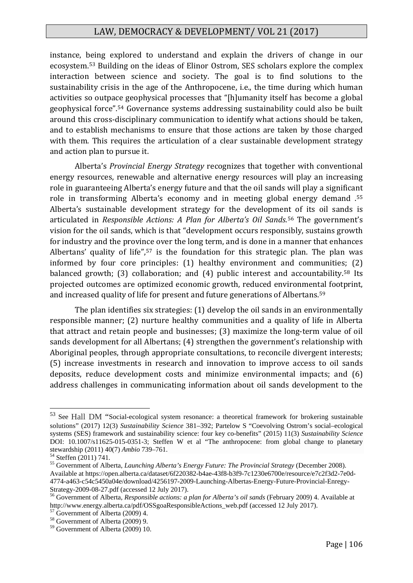instance, being explored to understand and explain the drivers of change in our ecosystem.[53](#page-9-0) Building on the ideas of Elinor Ostrom, SES scholars explore the complex interaction between science and society. The goal is to find solutions to the sustainability crisis in the age of the Anthropocene, i.e., the time during which human activities so outpace geophysical processes that "[h]umanity itself has become a global geophysical force".[54](#page-9-1) Governance systems addressing sustainability could also be built around this cross-disciplinary communication to identify what actions should be taken, and to establish mechanisms to ensure that those actions are taken by those charged with them. This requires the articulation of a clear sustainable development strategy and action plan to pursue it.

Alberta's *Provincial Energy Strategy* recognizes that together with conventional energy resources, renewable and alternative energy resources will play an increasing role in guaranteeing Alberta's energy future and that the oil sands will play a significa[nt](#page-9-2) role in transforming Alberta's economy and in meeting global energy demand . 55 Alberta's sustainable development strategy for the development of its oil sands is articulated in *Responsible Actions: A Plan for Alberta's Oil Sands*.[56](#page-9-3) The government's vision for the oil sands, which is that "development occurs responsibly, sustains growth for industry and the province over the long term, and is done in a manner that enhances Albertans' quality of life",<sup>[57](#page-9-4)</sup> is the foundation for this strategic plan. The plan was informed by four core principles: (1) healthy environment and communities; (2) balanced growth; (3) collaboration; and (4) public interest and accountability.<sup>[58](#page-9-5)</sup> Its projected outcomes are optimized economic growth, reduced environmental footprint, and increased quality of life for present and future generations of Albertans.[59](#page-9-6)

The plan identifies six strategies: (1) develop the oil sands in an environmentally responsible manner; (2) nurture healthy communities and a quality of life in Alberta that attract and retain people and businesses; (3) maximize the long-term value of oil sands development for all Albertans; (4) strengthen the government's relationship with Aboriginal peoples, through appropriate consultations, to reconcile divergent interests; (5) increase investments in research and innovation to improve access to oil sands deposits, reduce development costs and minimize environmental impacts; and (6) address challenges in communicating information about oil sands development to the

<u>.</u>

<span id="page-9-0"></span><sup>53</sup> See Hall DM "Social-ecological system resonance: a theoretical framework for brokering sustainable solutions" (2017) 12(3) *Sustainability Science* 381–392; Partelow S "Coevolving Ostrom's social–ecological systems (SES) framework and sustainability science: four key co-benefits" (2015) 11(3) *Sustainability Science* DOI: 10.1007/s11625-015-0351-3; Steffen W et al "The anthropocene: from global change to planetary stewardship (2011) 40(7) Ambio 739-761.

<span id="page-9-2"></span><span id="page-9-1"></span><sup>&</sup>lt;sup>54</sup> Steffen (2011) 741.<br><sup>55</sup> Government of Alberta, *Launching Alberta's Energy Future: The Provincial Strategy* (December 2008). Available at https://open.alberta.ca/dataset/6f220382-b4ae-43f8-b3f9-7c1230e6700e/resource/e7c2f3d2-7e0d-4774-a463-c54c5450a04e/download/4256197-2009-Launching-Albertas-Energy-Future-Provincial-Enregy-

<span id="page-9-3"></span>Strategy-2009-08-27.pdf (accessed 12 July 2017). 56 Government of Alberta, *Responsible actions: a plan for Alberta's oil sands* (February 2009) 4. Available at http://www.energy.alberta.ca/pdf/OSSgoaResponsibleActions\_web.pdf (accessed 12 July 2017).<br><sup>57</sup> Government of Alberta (2009) 4.<br><sup>58</sup> Government of Alberta (2009) 9.

<span id="page-9-4"></span>

<span id="page-9-6"></span><span id="page-9-5"></span><sup>59</sup> Government of Alberta (2009) 10.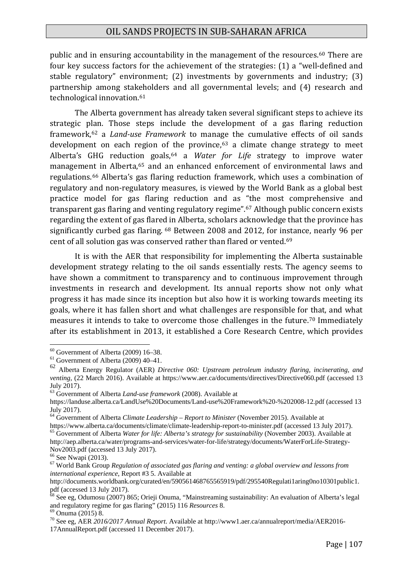public and in ensuring accountability in the management of the resources.[60](#page-10-0) There are four key success factors for the achievement of the strategies: (1) a "well-defined and stable regulatory" environment; (2) investments by governments and industry; (3) partnership among stakeholders and all governmental levels; and (4) research and technological innovation.<sup>[61](#page-10-1)</sup>

The Alberta government has already taken several significant steps to achieve its strategic plan. Those steps include the development of a gas flaring reduction framework,[62](#page-10-2) a *Land-use Framework* to manage the cumulative effects of oil sands development on each region of [th](#page-10-4)e province, $63$  a climate change strategy to meet Alberta's GHG reducti[on](#page-10-5) goals,<sup>64</sup> a *Water for Life* strategy to improve water manageme[nt](#page-10-6) in Alberta,<sup>65</sup> and an enhanced enforcement of environmental laws and regulations.66 Alberta's gas flaring reduction framework, which uses a combination of regulatory and non-regulatory measures, is viewed by the World Bank as a global best practice model for gas flaring reduction and as "the most comprehensive and transparent gas flaring and venting regulatory regime".[67](#page-10-7) Although public concern exists regarding the extent of gas flare[d i](#page-10-8)n Alberta, scholars acknowledge that the province has significantly curbed gas flaring. <sup>68</sup> Between 2008 and 2012, for instance, nearly 96 per cent of all solution gas was conserved rather than flared or vented.[69](#page-10-9)

It is with the AER that responsibility for implementing the Alberta sustainable development strategy relating to the oil sands essentially rests. The agency seems to have shown a commitment to transparency and to continuous improvement through investments in research and development. Its annual reports show not only what progress it has made since its inception but also how it is working towards meeting its goals, where it has fallen short and what challenges are responsible for that, and what measures it intends to take to overcome those challenges in the future.[70](#page-10-10) Immediately after its establishment in 2013, it established a Core Research Centre, which provides

<span id="page-10-0"></span> $60$  Government of Alberta (2009) 16–38.

 $61$  Government of Alberta (2009) 40–41.

<span id="page-10-2"></span><span id="page-10-1"></span><sup>62</sup> Alberta Energy Regulator (AER) *Directive 060: Upstream petroleum industry flaring, incinerating, and venting*, (22 March 2016). Available at https://www.aer.ca/documents/directives/Directive060.pdf (accessed 13 July 2017).

<span id="page-10-3"></span><sup>63</sup> Government of Alberta *Land-use framework* (2008). Available at

https://landuse.alberta.ca/LandUse%20Documents/Land-use%20Framework%20-%202008-12.pdf (accessed 13 July 2017).

<span id="page-10-4"></span><sup>&</sup>lt;sup>64</sup> Government of Alberta *Climate Leadership – Report to Minister* (November 2015). Available at https://www.alberta.ca/documents/climate/climate-leadership-report-to-minister.pdf (accessed 13 July 2017).

<span id="page-10-5"></span><sup>&</sup>lt;sup>65</sup> Government of Alberta *Water for life: Alberta's strategy for sustainability* (November 2003). Available at http://aep.alberta.ca/water/programs-and-services/water-for-life/strategy/documents/WaterForLife-Strategy-

<span id="page-10-7"></span>

<span id="page-10-6"></span>Nov2003.pdf (accessed 13 July 2017).<br><sup>66</sup> See Nwapi (2013).<br><sup>67</sup> World Bank Group *Regulation of associated gas flaring and venting: a global overview and lessons from international experience*, Report #3 5. Available at

http://documents.worldbank.org/curated/en/590561468765565919/pdf/295540Regulati1aring0no10301public1. pdf (accessed 13 July 2017).<br><sup>68</sup> See eg, Odumosu (2007) 865; Orieji Onuma, "Mainstreaming sustainability: An evaluation of Alberta's legal

<span id="page-10-8"></span>and regulatory regime for gas flaring" (2015) 116 *Resources* 8.<br><sup>69</sup> Onuma (2015) 8.<br><sup>70</sup> See eg, AER *2016/2017 Annual Report*. Available at http://www1.aer.ca/annualreport/media/AER2016-

<span id="page-10-9"></span>

<span id="page-10-10"></span><sup>17</sup>AnnualReport.pdf (accessed 11 December 2017).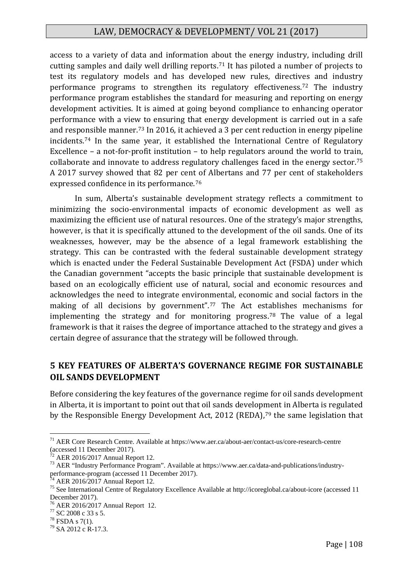access to a variety of data and information about the energy industry, including drill cutting samples and daily well drilling reports.[71](#page-11-0) It has piloted a number of projects to test its regulatory models and has developed new rules, directives and industry performance programs to strengthen its regulatory effectiveness.[72](#page-11-1) The industry performance program establishes the standard for measuring and reporting on energy development activities. It is aimed at going beyond compliance to enhancing operator performance with a view to ensuring that energy development is carried out in a safe and resp[ons](#page-11-3)ible manner.[73](#page-11-2) In 2016, it achieved a 3 per cent reduction in energy pipeline incidents.74 In the same year, it established the International Centre of Regulatory Excellence – a not-for-profit institution – to help regulators around the world to train, collaborate and innovate to address regulatory challenges faced in the energy sector[.75](#page-11-4) A 2017 survey showed that 82 per cent of Albertans and 77 per cent of stakeholders expressed confidence in its performance.[76](#page-11-5)

In sum, Alberta's sustainable development strategy reflects a commitment to minimizing the socio-environmental impacts of economic development as well as maximizing the efficient use of natural resources. One of the strategy's major strengths, however, is that it is specifically attuned to the development of the oil sands. One of its weaknesses, however, may be the absence of a legal framework establishing the strategy. This can be contrasted with the federal sustainable development strategy which is enacted under the Federal Sustainable Development Act (FSDA) under which the Canadian government "accepts the basic principle that sustainable development is based on an ecologically efficient use of natural, social and economic resources and acknowledges the need to integrate environmental, economic and social factors in the making of all decisions by government".<sup>[77](#page-11-6)</sup> The Act establishes mechanisms for implementing the strategy and for monitoring progress.[78](#page-11-7) The value of a legal framework is that it raises the degree of importance attached to the strategy and gives a certain degree of assurance that the strategy will be followed through.

## **5 KEY FEATURES OF ALBERTA'S GOVERNANCE REGIME FOR SUSTAINABLE OIL SANDS DEVELOPMENT**

Before considering the key features of the governance regime for oil sands development in Alberta, it is important to point out that oil sands development in Alberta is regulated by the Responsible Energy Development Act, 2012 (REDA),<sup>[79](#page-11-8)</sup> the same legislation that

<u>.</u>

<span id="page-11-0"></span><sup>&</sup>lt;sup>71</sup> AER Core Research Centre. Available at https://www.aer.ca/about-aer/contact-us/core-research-centre (accessed 11 December 2017).<br> $^{72}$  AER 2016/2017 Annual Report 12.

<span id="page-11-2"></span><span id="page-11-1"></span><sup>&</sup>lt;sup>73</sup> AER "Industry Performance Program". Available at https://www.aer.ca/data-and-publications/industry-<br>performance-program (accessed 11 December 2017).<br><sup>74</sup> AER 2016/2017 Annual Report 12.

<span id="page-11-4"></span><span id="page-11-3"></span><sup>&</sup>lt;sup>75</sup> See International Centre of Regulatory Excellence Available at http://icoreglobal.ca/about-icore (accessed 11 December 2017).

<span id="page-11-6"></span><span id="page-11-5"></span><sup>&</sup>lt;sup>76</sup> AER 2016/2017 Annual Report 12.<br>
<sup>77</sup> SC 2008 c 33 s 5.<br>
<sup>78</sup> FSDA s 7(1).<br>
<sup>79</sup> SA 2012 c R-17.3.

<span id="page-11-7"></span>

<span id="page-11-8"></span>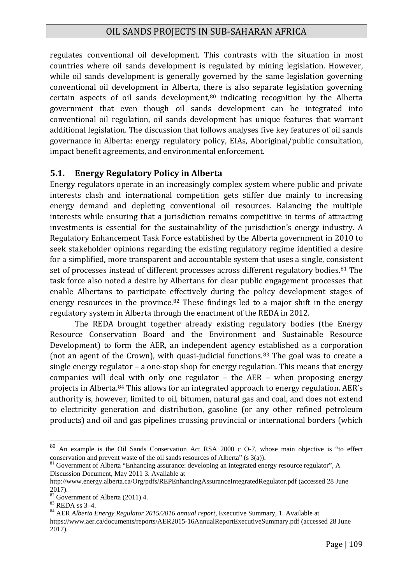regulates conventional oil development. This contrasts with the situation in most countries where oil sands development is regulated by mining legislation. However, while oil sands development is generally governed by the same legislation governing conventional oil development in Alberta, there is also separate legislation governing certain aspects of oil sands development, $80$  indicating recognition by the Alberta government that even though oil sands development can be integrated into conventional oil regulation, oil sands development has unique features that warrant additional legislation. The discussion that follows analyses five key features of oil sands governance in Alberta: energy regulatory policy, EIAs, Aboriginal/public consultation, impact benefit agreements, and environmental enforcement.

### **5.1. Energy Regulatory Policy in Alberta**

Energy regulators operate in an increasingly complex system where public and private interests clash and international competition gets stiffer due mainly to increasing energy demand and depleting conventional oil resources. Balancing the multiple interests while ensuring that a jurisdiction remains competitive in terms of attracting investments is essential for the sustainability of the jurisdiction's energy industry. A Regulatory Enhancement Task Force established by the Alberta government in 2010 to seek stakeholder opinions regarding the existing regulatory regime identified a desire for a simplified, more transparent and accountable system that uses a single, consistent set of processes instead of different processes across different regulatory bodies.<sup>[81](#page-12-1)</sup> The task force also noted a desire by Albertans for clear public engagement processes that enable Albertans to participate effectively during the policy development stages of energy resources in the province.<sup>[82](#page-12-2)</sup> These findings led to a major shift in the energy regulatory system in Alberta through the enactment of the REDA in 2012.

The REDA brought together already existing regulatory bodies (the Energy Resource Conservation Board and the Environment and Sustainable Resource Development) to form the AER, an independent agency established as a corporation (not an agent of the Crown), with quasi-judicial functions.[83](#page-12-3) The goal was to create a single energy regulator – a one-stop shop for energy regulation. This means that energy companies will deal with only one regulator – the AER – when proposing energy projects in Alberta.[84](#page-12-4) This allows for an integrated approach to energy regulation. AER's authority is, however, limited to oil, bitumen, natural gas and coal, and does not extend to electricity generation and distribution, gasoline (or any other refined petroleum products) and oil and gas pipelines crossing provincial or international borders (which

<span id="page-12-0"></span>An example is the Oil Sands Conservation Act RSA 2000 c O-7, whose main objective is "to effect conservation and prevent waste of the oil sands resources of Alberta" (s 3(a)).  $80\,$ 

<span id="page-12-1"></span><sup>&</sup>lt;sup>81</sup> Government of Alberta "Enhancing assurance: developing an integrated energy resource regulator", A Discussion Document, May 2011 3. Available at

http://www.energy.alberta.ca/Org/pdfs/REPEnhancingAssuranceIntegratedRegulator.pdf (accessed 28 June 2017).<br><sup>82</sup> Government of Alberta (2011) 4.

<span id="page-12-4"></span><span id="page-12-3"></span><span id="page-12-2"></span><sup>&</sup>lt;sup>83</sup> REDA ss 3–4.<br><sup>84</sup> AER *Alberta Energy Regulator 2015/2016 annual report*, Executive Summary, 1. Available at https://www.aer.ca/documents/reports/AER2015-16AnnualReportExecutiveSummary.pdf (accessed 28 June 2017).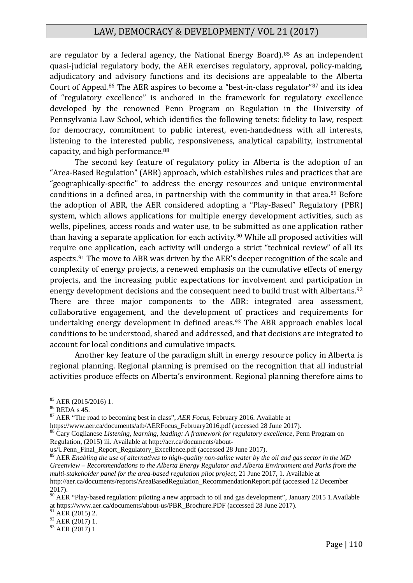are regulator by a federal agency, the National Energy Board).[85](#page-13-0) As an independent quasi-judicial regulatory body, the AER exercises regulatory, approval, policy-making, adjudicatory and advisory functions and its decisions are appealable to the Alberta Court of Appeal.[86](#page-13-1) The AER aspires to become a "best-in-class regulator"[87](#page-13-2) and its idea of "regulatory excellence" is anchored in the framework for regulatory excellence developed by the renowned Penn Program on Regulation in the University of Pennsylvania Law School, which identifies the following tenets: fidelity to law, respect for democracy, commitment to public interest, even-handedness with all interests, listening to the interested public, responsiveness, analytical capability, instrumental capacity, and high performance.[88](#page-13-3)

The second key feature of regulatory policy in Alberta is the adoption of an "Area-Based Regulation" (ABR) approach, which establishes rules and practices that are "geographically-specific" to address the energy resources and unique environmental conditions in a defined area, in partnership with the community in that area.<sup>[89](#page-13-4)</sup> Before the adoption of ABR, the AER considered adopting a "Play-Based" Regulatory (PBR) system, which allows applications for multiple energy development activities, such as wells, pipelines, access roads and water use, to be submitted as one application rather than having a separate application for each activity.<sup>[90](#page-13-5)</sup> While all proposed activities will require one application, each activity will undergo a strict "technical review" of all its aspects.<sup>[91](#page-13-6)</sup> The move to ABR was driven by the AER's deeper recognition of the scale and complexity of energy projects, a renewed emphasis on the cumulative effects of energy projects, and the increasing public expectations for involvement and participation in energy development decisions and the consequent need to build trust with Albertans[.92](#page-13-7) There are three major components to the ABR: integrated area assessment, collaborative engagement, and the development of practices and requirements for undertaking energy development in defined areas.<sup>[93](#page-13-8)</sup> The ABR approach enables local conditions to be understood, shared and addressed, and that decisions are integrated to account for local conditions and cumulative impacts.

Another key feature of the paradigm shift in energy resource policy in Alberta is regional planning. Regional planning is premised on the recognition that all industrial activities produce effects on Alberta's environment. Regional planning therefore aims to

us/UPenn\_Final\_Report\_Regulatory\_Excellence.pdf (accessed 28 June 2017).

<span id="page-13-0"></span><sup>&</sup>lt;sup>85</sup> AER (2015/2016) 1.

<span id="page-13-1"></span><sup>&</sup>lt;sup>86</sup> REDA s 45. **86 REDA** s 45. 86 REDA s 45. 86 REDA s 45. 87 AER Focus, February 2016. Available at

<span id="page-13-3"></span><span id="page-13-2"></span>https://www.aer.ca/documents/atb/AERFocus\_February2016.pdf (accessed 28 June 2017). <sup>88</sup> Cary Coglianese *Listening, learning, leading: A framework for regulatory excellence*, Penn Program on Regulation, (2015) iii. Available at http://aer.ca/documents/about-

<span id="page-13-4"></span><sup>89</sup> AER *Enabling the use of alternatives to high-quality non-saline water by the oil and gas sector in the MD Greenview – Recommendations to the Alberta Energy Regulator and Alberta Environment and Parks from the multi-stakeholder panel for the area-based regulation pilot project*, 21 June 2017, 1. Available at http://aer.ca/documents/reports/AreaBasedRegulation\_RecommendationReport.pdf (accessed 12 December 2017).

<span id="page-13-5"></span><sup>&</sup>lt;sup>90</sup> AER "Play-based regulation: piloting a new approach to oil and gas development", January 2015 1.Available at https://www.aer.ca/documents/about-us/PBR\_Brochure.PDF (accessed 28 June 2017).

<span id="page-13-6"></span> $^{91}$  AER (2015) 2.

<span id="page-13-7"></span><sup>92</sup> AER (2017) 1.

<span id="page-13-8"></span><sup>93</sup> AER (2017) 1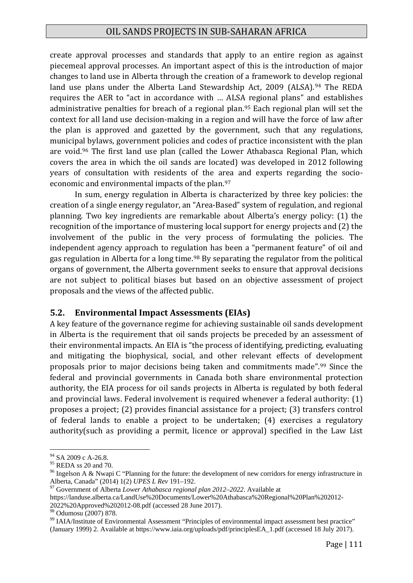create approval processes and standards that apply to an entire region as against piecemeal approval processes. An important aspect of this is the introduction of major changes to land use in Alberta through the creation of a framework to develop regional land use plans under the Alberta Land Stewardship Act, 2009 (ALSA).<sup>[94](#page-14-0)</sup> The REDA requires the AER to "act in accordance with … ALSA regional plans" and establishes administrative penalties for breach of a regional plan.[95](#page-14-1) Each regional plan will set the context for all land use decision-making in a region and will have the force of law after the plan is approved and gazetted by the government, such that any regulations, municipal bylaws, government policies and codes of practice inconsistent with the plan are void.[96](#page-14-2) The first land use plan (called the Lower Athabasca Regional Plan, which covers the area in which the oil sands are located) was developed in 2012 following years of consultation with residents of the area and experts regarding the socioeconomic and environmental impacts of the plan.[97](#page-14-3)

In sum, energy regulation in Alberta is characterized by three key policies: the creation of a single energy regulator, an "Area-Based" system of regulation, and regional planning. Two key ingredients are remarkable about Alberta's energy policy: (1) the recognition of the importance of mustering local support for energy projects and (2) the involvement of the public in the very process of formulating the policies. The independent agency approach to regulation has been a "permanent feature" of oil and gas regulation in Alberta for a long time.[98](#page-14-4) By separating the regulator from the political organs of government, the Alberta government seeks to ensure that approval decisions are not subject to political biases but based on an objective assessment of project proposals and the views of the affected public.

# **5.2. Environmental Impact Assessments (EIAs)**

A key feature of the governance regime for achieving sustainable oil sands development in Alberta is the requirement that oil sands projects be preceded by an assessment of their environmental impacts. An EIA is "the process of identifying, predicting, evaluating and mitigating the biophysical, social, and other relevant effects of development proposals prior to major decisions being taken and commitments made".[99](#page-14-5) Since the federal and provincial governments in Canada both share environmental protection authority, the EIA process for oil sands projects in Alberta is regulated by both federal and provincial laws. Federal involvement is required whenever a federal authority: (1) proposes a project; (2) provides financial assistance for a project; (3) transfers control of federal lands to enable a project to be undertaken; (4) exercises a regulatory authority(such as providing a permit, licence or approval) specified in the Law List

<sup>&</sup>lt;sup>94</sup> SA 2009 c A-26.8.

<span id="page-14-2"></span><span id="page-14-1"></span><span id="page-14-0"></span><sup>&</sup>lt;sup>95</sup> REDA ss 20 and 70.<br><sup>96</sup> Ingelson A & Nwapi C "Planning for the future: the development of new corridors for energy infrastructure in Alberta, Canada" (2014) 1(2) *UPES L Rev* 191–192.<br><sup>97</sup> Government of Alberta *Lower Athabasca regional plan 2012–2022*. Available at

<span id="page-14-3"></span>https://landuse.alberta.ca/LandUse%20Documents/Lower%20Athabasca%20Regional%20Plan%202012- 2022%20Approved%202012-08.pdf (accessed 28 June 2017).

<span id="page-14-5"></span><span id="page-14-4"></span><sup>99</sup> IAIA/Institute of Environmental Assessment "Principles of environmental impact assessment best practice" (January 1999) 2. Available at https://www.iaia.org/uploads/pdf/principlesEA\_1.pdf (accessed 18 July 2017).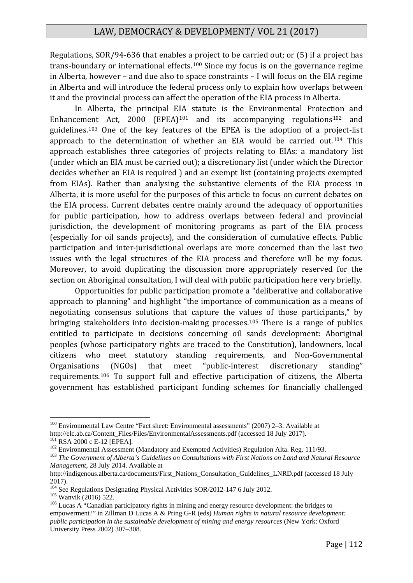Regulations, SOR/94-636 that enables a project to be carried out; or (5) if a project has trans-boundary or international effects.[100](#page-15-0) Since my focus is on the governance regime in Alberta, however – and due also to space constraints – I will focus on the EIA regime in Alberta and will introduce the federal process only to explain how overlaps between it and the provincial process can affect the operation of the EIA process in Alberta.

In Alberta, the principal EIA statute is the Environmental Protection and Enhancem[ent](#page-15-3) Act, 2000 (EPEA)<sup>[101](#page-15-1)</sup> and its accompanying regulations<sup>[102](#page-15-2)</sup> and guidelines.103 One of the key features of the EPEA is the adoption of a project-list approach to the determination of whether an EIA would be carried out.[104](#page-15-4) This approach establishes three categories of projects relating to EIAs: a mandatory list (under which an EIA must be carried out); a discretionary list (under which the Director decides whether an EIA is required ) and an exempt list (containing projects exempted from EIAs). Rather than analysing the substantive elements of the EIA process in Alberta, it is more useful for the purposes of this article to focus on current debates on the EIA process. Current debates centre mainly around the adequacy of opportunities for public participation, how to address overlaps between federal and provincial jurisdiction, the development of monitoring programs as part of the EIA process (especially for oil sands projects), and the consideration of cumulative effects. Public participation and inter-jurisdictional overlaps are more concerned than the last two issues with the legal structures of the EIA process and therefore will be my focus. Moreover, to avoid duplicating the discussion more appropriately reserved for the section on Aboriginal consultation, I will deal with public participation here very briefly.

Opportunities for public participation promote a "deliberative and collaborative approach to planning" and highlight "the importance of communication as a means of negotiating consensus solutions that capture the values of those participants," by bringing stakeholders into decision-making processes.[105](#page-15-5) There is a range of publics entitled to participate in decisions concerning oil sands development: Aboriginal peoples (whose participatory rights are traced to the Constitution), landowners, local citizens who meet statutory standing requirements, and Non-Governmental Organisations (NGOs) that meet "public-interest discretionary standing" requirements.[106](#page-15-6) To support full and effective participation of citizens, the Alberta government has established participant funding schemes for financially challenged

<span id="page-15-0"></span><sup>&</sup>lt;sup>100</sup> Environmental Law Centre "Fact sheet: Environmental assessments" (2007) 2-3. Available at http://elc.ab.ca/Content\_Files/Files/EnvironmentalAssessments.pdf (accessed 18 July 2017).<br><sup>101</sup> RSA 2000 c E-12 [EPEA].<br><sup>102</sup> Environmental Assessment (Mandatory and Exempted Activities) Regulation Alta. Reg. 111/93.<br><sup>102</sup> <u>.</u>

<span id="page-15-1"></span>

<span id="page-15-2"></span>

<span id="page-15-3"></span>*Management*, 28 July 2014. Available at

http://indigenous.alberta.ca/documents/First\_Nations\_Consultation\_Guidelines\_LNRD.pdf (accessed 18 July

<sup>2017).&</sup>lt;br>
<sup>104</sup> See Regulations Designating Physical Activities SOR/2012-147 6 July 2012.

<span id="page-15-6"></span><span id="page-15-5"></span><span id="page-15-4"></span><sup>&</sup>lt;sup>105</sup> Wanvik (2016) 522.  $\frac{106}{106}$  Lucas A "Canadian participatory rights in mining and energy resource development: the bridges to empowerment?" in Zillman D Lucas A & Pring G-R (eds) *Human rights in natural resource development: public participation in the sustainable development of mining and energy resources* (New York: Oxford University Press 2002) 307–308.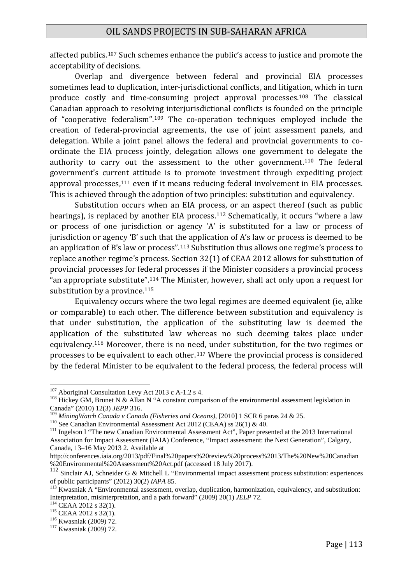affected publics.[107](#page-16-0) Such schemes enhance the public's access to justice and promote the acceptability of decisions.

Overlap and divergence between federal and provincial EIA processes sometimes lead to duplication, inter-jurisdictional conflicts, and litigation, which in turn produce costly and time-consuming project approval processes.[108](#page-16-1) The classical Canadian approach to resolving interjurisdictional conflicts is founded on the principle of "cooperative federalism".[109](#page-16-2) The co-operation techniques employed include the creation of federal-provincial agreements, the use of joint assessment panels, and delegation. While a joint panel allows the federal and provincial governments to coordinate the EIA process jointly, delegation allows one government to delegate the authority to carry out the assessment to the other government.[110](#page-16-3) The federal government's current attitude is to promote investment through expediting project approval processes,[111](#page-16-4) even if it means reducing federal involvement in EIA processes. This is achieved through the adoption of two principles: substitution and equivalency.

Substitution occurs when an EIA process, or an aspect thereof (such as public hearings), is replaced by another EIA process.<sup>[112](#page-16-5)</sup> Schematically, it occurs "where a law or process of one jurisdiction or agency 'A' is substituted for a law or process of jurisdiction or agency 'B' such that the application of A's law or process is deemed to be an application of B's law or process".[113](#page-16-6) Substitution thus allows one regime's process to replace another regime's process. Section 32(1) of CEAA 2012 allows for substitution of provincial processes for federal processes if the Minister considers a provincial process "an appropriate substitute[".](#page-16-8)[114](#page-16-7) The Minister, however, shall act only upon a request for substitution by a province.<sup>115</sup>

Equivalency occurs where the two legal regimes are deemed equivalent (ie, alike or comparable) to each other. The difference between substitution and equivalency is that under substitution, the application of the substituting law is deemed the application of the substituted law whereas no such deeming takes place under equivalency.[116](#page-16-9) Moreover, there is no need, under substitution, for the two regimes or processes to be equivalent to each other.[117](#page-16-10) Where the provincial process is considered by the federal Minister to be equivalent to the federal process, the federal process will

<sup>&</sup>lt;sup>107</sup> Aboriginal Consultation Levy Act 2013 c A-1.2 s 4.

<span id="page-16-1"></span><span id="page-16-0"></span><sup>&</sup>lt;sup>108</sup> Hickey GM, Brunet N & Allan N "A constant comparison of the environmental assessment legislation in Canada" (2010) 12(3) JEPP 316.<br>
<sup>109</sup> Mining Watch Canada v Canada (Fisheries and Oceans), [2010] 1 SCR 6 paras 24 & 25.<br>
<sup>110</sup> See Canadian Environmental Assessment Act 2012 (CEAA) ss 26(1) & 40.<br>
<sup>111</sup> Ingelson I "The n

<span id="page-16-2"></span>

<span id="page-16-4"></span><span id="page-16-3"></span>Association for Impact Assessment (IAIA) Conference, "Impact assessment: the Next Generation", Calgary, Canada, 13–16 May 2013 2. Available at

http://conferences.iaia.org/2013/pdf/Final%20papers%20review%20process%2013/The%20New%20Canadian

<span id="page-16-5"></span><sup>%20</sup>Environmental%20Assessment%20Act.pdf (accessed 18 July 2017).<br><sup>112</sup> Sinclair AJ, Schneider G & Mitchell L "Environmental impact assessment process substitution: experiences<br>of public participants" (2012) 30(2) *IAPA* 85

<span id="page-16-6"></span><sup>&</sup>lt;sup>113</sup> Kwasniak A "Environmental assessment, overlap, duplication, harmonization, equivalency, and substitution: Interpretation, misinterpretation, and a path forward" (2009) 20(1) *JELP* 72.<br><sup>114</sup> CEAA 2012 s 32(1).<br><sup>115</sup> CEAA 2012 s 32(1).<br><sup>116</sup> Kwasniak (2009) 72.<br><sup>117</sup> Kwasniak (2009) 72.

<span id="page-16-7"></span>

<span id="page-16-8"></span>

<span id="page-16-9"></span>

<span id="page-16-10"></span>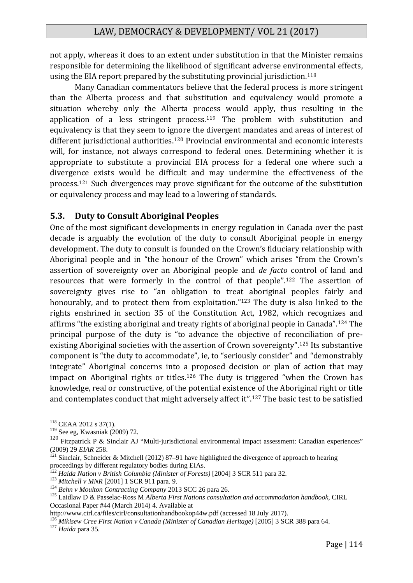not apply, whereas it does to an extent under substitution in that the Minister remains responsible for determining the likelihood of significant adverse environmental effects, using the EIA report prepared by the substituting provincial jurisdiction.<sup>[118](#page-17-0)</sup>

Many Canadian commentators believe that the federal process is more stringent than the Alberta process and that substitution and equivalency would promote a situation whereby only the Alberta process would apply, thus resulting in the application of a less stringent process.<sup>[119](#page-17-1)</sup> The problem with substitution and equivalency is that they seem to ignore the divergent mandates and areas of interest of different jurisdictional authorities.<sup>[120](#page-17-2)</sup> Provincial environmental and economic interests will, for instance, not always correspond to federal ones. Determining whether it is appropriate to substitute a provincial EIA process for a federal one where such a divergence exists would be difficult and may undermine the effectiveness of the process.[121](#page-17-3) Such divergences may prove significant for the outcome of the substitution or equivalency process and may lead to a lowering of standards.

## **5.3. Duty to Consult Aboriginal Peoples**

One of the most significant developments in energy regulation in Canada over the past decade is arguably the evolution of the duty to consult Aboriginal people in energy development. The duty to consult is founded on the Crown's fiduciary relationship with Aboriginal people and in "the honour of the Crown" which arises "from the Crown's assertion of sovereignty over an Aboriginal people and *de facto* control of land and resources that were formerly in the control of that people".[122](#page-17-4) The assertion of sovereignty gives rise to "an obligation to treat aboriginal peoples fairly and honourably, and to protect them from exploitation."<sup>[123](#page-17-5)</sup> The duty is also linked to the rights enshrined in section 35 of the Constitution Act, 1982, which recognizes and affirms "the existing aboriginal and treaty rights of aboriginal people in Canada".[124](#page-17-6) The principal purpose of the duty is "to advance the objective of reconciliation of preexisting Aboriginal societies with the assertion of Crown sovereignty".[125](#page-17-7) Its substantive component is "the duty to accommodate", ie, to "seriously consider" and "demonstrably integrate" Aboriginal concerns into a proposed decision or plan of action that may impact on Aboriginal rights or titles.<sup>[126](#page-17-8)</sup> The duty is triggered "when the Crown has knowledge, real or constructive, of the potential existence of the Aboriginal right or title and contemplates conduct that might adversely affect it".[127](#page-17-9) The basic test to be satisfied

-

<span id="page-17-9"></span><span id="page-17-8"></span><sup>126</sup> Mikisew Cree First Nation v Canada (Minister of Canadian Heritage) [2005] 3 SCR 388 para 64. <sup>127</sup> *Haida* para 35.

<sup>&</sup>lt;sup>118</sup> CEAA 2012 s 37(1).

<span id="page-17-2"></span><span id="page-17-1"></span><span id="page-17-0"></span><sup>&</sup>lt;sup>119</sup> See eg, Kwasniak (2009) 72.<br><sup>120</sup> Fitzpatrick P & Sinclair AJ "Multi-jurisdictional environmental impact assessment: Canadian experiences" (2009) 29 *EIAR* 258. <sup>121</sup> Sinclair, Schneider & Mitchell (2012) 87–91 have highlighted the divergence of approach to hearing

<span id="page-17-3"></span>proceedings by different regulatory bodies during EIAs.<br><sup>122</sup> Haida Nation v British Columbia (Minister of Forests) [2004] 3 SCR 511 para 32.

<span id="page-17-7"></span>

<span id="page-17-6"></span><span id="page-17-5"></span><span id="page-17-4"></span><sup>&</sup>lt;sup>123</sup> Mitchell v MNR [2001] 1 SCR 911 para. 9.<br><sup>124</sup> Behn v Moulton Contracting Company 2013 SCC 26 para 26.<br><sup>125</sup> Laidlaw D & Passelac-Ross M Alberta First Nations consultation and accommodation handbook, CIRL Occasional Paper #44 (March 2014) 4. Available at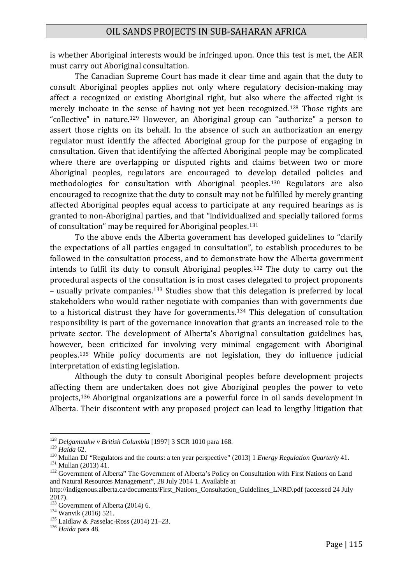is whether Aboriginal interests would be infringed upon. Once this test is met, the AER must carry out Aboriginal consultation.

The Canadian Supreme Court has made it clear time and again that the duty to consult Aboriginal peoples applies not only where regulatory decision-making may affect a recognized or existing Aboriginal right, but also where the affected right is merely inchoate in t[he s](#page-18-1)ense of having not yet been recognized.[128](#page-18-0) Those rights are "collective" in nature.129 However, an Aboriginal group can "authorize" a person to assert those rights on its behalf. In the absence of such an authorization an energy regulator must identify the affected Aboriginal group for the purpose of engaging in consultation. Given that identifying the affected Aboriginal people may be complicated where there are overlapping or disputed rights and claims between two or more Aboriginal peoples, regulators are encouraged to develop detailed policies and methodologies for consultation with Aboriginal peoples.[130](#page-18-2) Regulators are also encouraged to recognize that the duty to consult may not be fulfilled by merely granting affected Aboriginal peoples equal access to participate at any required hearings as is granted to non-Aboriginal parties, and that "individualized and specially tailored forms of consultation" may be required for Aboriginal peoples.[131](#page-18-3)

To the above ends the Alberta government has developed guidelines to "clarify the expectations of all parties engaged in consultation", to establish procedures to be followed in the consultation process, and to demonstrate how the Alberta government intends to fulfil its duty to consult Aboriginal peoples.[132](#page-18-4) The duty to carry out the procedural aspects of the consultation is in most cases delegated to project proponents – usually private companies.[133](#page-18-5) Studies show that this delegation is preferred by local stakeholders who would rather negotiate with companies than with governments due to a historical distrust they have for governments.[134](#page-18-6) This delegation of consultation responsibility is part of the governance innovation that grants an increased role to the private sector. The development of Alberta's Aboriginal consultation guidelines has, however, been criticized for involving very minimal engagement with Aboriginal peoples.[135](#page-18-7) While policy documents are not legislation, they do influence judicial interpretation of existing legislation.

Although the duty to consult Aboriginal peoples before development projects affecting them are undertaken does not give Aboriginal peoples the power to veto projects,[136](#page-18-8) Aboriginal organizations are a powerful force in oil sands development in Alberta. Their discontent with any proposed project can lead to lengthy litigation that

<sup>128</sup> *Delgamuukw v British Columbia* [1997] 3 SCR 1010 para 168. <u>.</u>

<span id="page-18-2"></span><span id="page-18-1"></span><span id="page-18-0"></span>*Levelandary 121 maid 62.*<br>
<sup>130</sup> Mullan DJ "Regulators and the courts: a ten year perspective" (2013) 1 *Energy Regulation Quarterly* 41.<br>
<sup>131</sup> Mullan (2013) 41.<br>
<sup>132</sup> Government of Alberta'' The Government of Alberta's

<span id="page-18-4"></span><span id="page-18-3"></span>and Natural Resources Management", 28 July 2014 1. Available at

http://indigenous.alberta.ca/documents/First\_Nations\_Consultation\_Guidelines\_LNRD.pdf (accessed 24 July 2017).<br> $133$  Government of Alberta (2014) 6.

<span id="page-18-7"></span><span id="page-18-6"></span><span id="page-18-5"></span><sup>&</sup>lt;sup>134</sup> Wanvik (2016) 521.<br><sup>135</sup> Laidlaw & Passelac-Ross (2014) 21–23.<br><sup>136</sup> *Haida* para 48.

<span id="page-18-8"></span>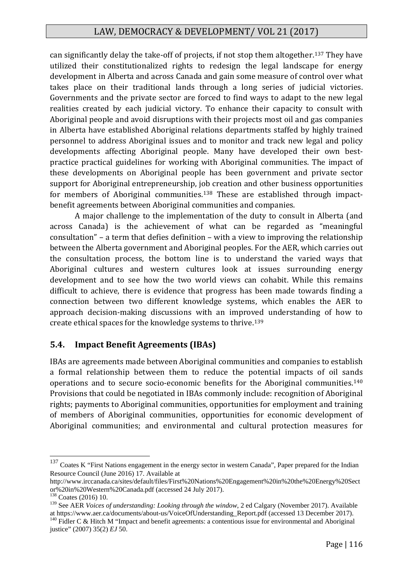can significantly delay the take-off of projects, if not stop them altogether.[137](#page-19-0) They have utilized their constitutionalized rights to redesign the legal landscape for energy development in Alberta and across Canada and gain some measure of control over what takes place on their traditional lands through a long series of judicial victories. Governments and the private sector are forced to find ways to adapt to the new legal realities created by each judicial victory. To enhance their capacity to consult with Aboriginal people and avoid disruptions with their projects most oil and gas companies in Alberta have established Aboriginal relations departments staffed by highly trained personnel to address Aboriginal issues and to monitor and track new legal and policy developments affecting Aboriginal people. Many have developed their own bestpractice practical guidelines for working with Aboriginal communities. The impact of these developments on Aboriginal people has been government and private sector support for Aboriginal entrepreneurship, job creation and other business opportunities for members of Aboriginal communities.[138](#page-19-1) These are established through impactbenefit agreements between Aboriginal communities and companies.

A major challenge to the implementation of the duty to consult in Alberta (and across Canada) is the achievement of what can be regarded as "meaningful consultation" – a term that defies definition – with a view to improving the relationship between the Alberta government and Aboriginal peoples. For the AER, which carries out the consultation process, the bottom line is to understand the varied ways that Aboriginal cultures and western cultures look at issues surrounding energy development and to see how the two world views can cohabit. While this remains difficult to achieve, there is evidence that progress has been made towards finding a connection between two different knowledge systems, which enables the AER to approach decision-making discussions with an improved understanding of how to create ethical spaces for the knowledge systems to thrive.[139](#page-19-2)

### **5.4. Impact Benefit Agreements (IBAs)**

IBAs are agreements made between Aboriginal communities and companies to establish a formal relationship between them to reduce the potential impacts of oil sands operations and to secure socio-economic benefits for the Aboriginal communities.[140](#page-19-3) Provisions that could be negotiated in IBAs commonly include: recognition of Aboriginal rights; payments to Aboriginal communities, opportunities for employment and training of members of Aboriginal communities, opportunities for economic development of Aboriginal communities; and environmental and cultural protection measures for

<u>.</u>

<span id="page-19-0"></span><sup>&</sup>lt;sup>137</sup> Coates K "First Nations engagement in the energy sector in western Canada", Paper prepared for the Indian Resource Council (June 2016) 17. Available at

http://www.irccanada.ca/sites/default/files/First%20Nations%20Engagement%20in%20the%20Energy%20Sect or%20in%20Western%20Canada.pdf (accessed 24 July 2017). <sup>138</sup> Coates (2016) 10.

<span id="page-19-1"></span>

<span id="page-19-2"></span><sup>&</sup>lt;sup>139</sup> See AER *Voices of understanding: Looking through the window*, 2 ed Calgary (November 2017). Available

<span id="page-19-3"></span>at https://www.aer.ca/documents/about-us/VoiceOfUnderstanding\_Report.pdf (accessed 13 December 2017). <sup>140</sup> Fidler C & Hitch M "Impact and benefit agreements: a contentious issue for environmental and Aboriginal justice" (2007) 35(2) *EJ* 50.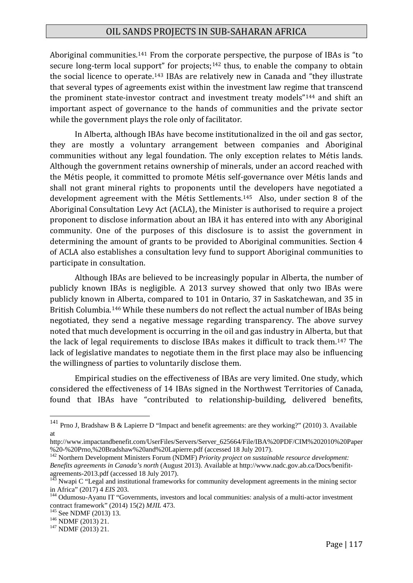Aboriginal communities.[141](#page-20-0) From the corporate perspective, the purpose of IBAs is "to secure long-term local supp[ort"](#page-20-2) for projects; $142$  thus, to enable the company to obtain the social licence to operate.143 IBAs are relatively new in Canada and "they illustrate that several types of agreements exist within the investment law regime that transcend the prominent state-investor contract and investment treaty models"[144](#page-20-3) and shift an important aspect of governance to the hands of communities and the private sector while the government plays the role only of facilitator.

In Alberta, although IBAs have become institutionalized in the oil and gas sector, they are mostly a voluntary arrangement between companies and Aboriginal communities without any legal foundation. The only exception relates to Métis lands. Although the government retains ownership of minerals, under an accord reached with the Métis people, it committed to promote Métis self-governance over Métis lands and shall not grant mineral rights to proponents until the developers have negotiated a development agreement with the Métis Settlements[.145](#page-20-4) Also, under section 8 of the Aboriginal Consultation Levy Act (ACLA), the Minister is authorised to require a project proponent to disclose information about an IBA it has entered into with any Aboriginal community. One of the purposes of this disclosure is to assist the government in determining the amount of grants to be provided to Aboriginal communities. Section 4 of ACLA also establishes a consultation levy fund to support Aboriginal communities to participate in consultation.

Although IBAs are believed to be increasingly popular in Alberta, the number of publicly known IBAs is negligible. A 2013 survey showed that only two IBAs were publicly known in Alberta, compared to 101 in Ontario, 37 in Saskatchewan, and 35 in British Columbia.[146](#page-20-5) While these numbers do not reflect the actual number of IBAs being negotiated, they send a negative message regarding transparency. The above survey noted that much development is occurring in the oil and gas industry in Alberta, but that the lack of legal requirements to disclose IBAs makes it difficult to track them.[147](#page-20-6) The lack of legislative mandates to negotiate them in the first place may also be influencing the willingness of parties to voluntarily disclose them.

Empirical studies on the effectiveness of IBAs are very limited. One study, which considered the effectiveness of 14 IBAs signed in the Northwest Territories of Canada, found that IBAs have "contributed to relationship-building, delivered benefits,

<span id="page-20-0"></span>Prno J, Bradshaw B & Lapierre D "Impact and benefit agreements: are they working?" (2010) 3. Available at 141

http://www.impactandbenefit.com/UserFiles/Servers/Server\_625664/File/IBA%20PDF/CIM%202010%20Paper %20-%20Prno,%20Bradshaw%20and%20Lapierre.pdf (accessed 18 July 2017). <sup>142</sup> Northern Development Ministers Forum (NDMF) *Priority project on sustainable resource development:* 

<span id="page-20-1"></span>*Benefits agreements in Canada's north* (August 2013). Available at http://www.nadc.gov.ab.ca/Docs/benifit-

<span id="page-20-2"></span><sup>&</sup>lt;sup>143</sup> Nwapi C "Legal and institutional frameworks for community development agreements in the mining sector in Africa" (2017) 4 *EIS* 203.

<span id="page-20-3"></span><sup>&</sup>lt;sup>144</sup> Odumosu-Ayanu IT "Governments, investors and local communities: analysis of a multi-actor investment contract framework" (2014) 15(2) *MJIL* 473.<br><sup>145</sup> See NDMF (2013) 13.<br><sup>146</sup> NDMF (2013) 21.<br><sup>147</sup> NDMF (2013) 21.

<span id="page-20-4"></span>

<span id="page-20-5"></span>

<span id="page-20-6"></span>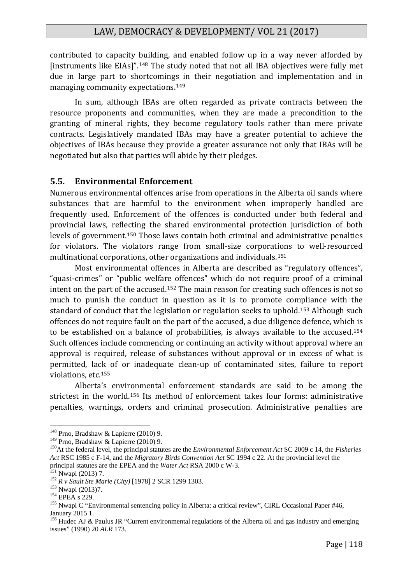contributed to capacity building, and enabled follow up in a way never afforded by [instruments like EIAs]".[148](#page-21-0) The study noted that not all IBA objectives were fully met due in large part to shortcomings in their negotiation and implementation and in managing community expectations.[149](#page-21-1)

In sum, although IBAs are often regarded as private contracts between the resource proponents and communities, when they are made a precondition to the granting of mineral rights, they become regulatory tools rather than mere private contracts. Legislatively mandated IBAs may have a greater potential to achieve the objectives of IBAs because they provide a greater assurance not only that IBAs will be negotiated but also that parties will abide by their pledges.

#### **5.5. Environmental Enforcement**

Numerous environmental offences arise from operations in the Alberta oil sands where substances that are harmful to the environment when improperly handled are frequently used. Enforcement of the offences is conducted under both federal and provincial laws, reflecting the shared environmental protection jurisdiction of both levels of government.[150](#page-21-2) Those laws contain both criminal and administrative penalties for violators. The violators range from small-size corporations to well-resourced multinational corporations, other organizations and individuals.[151](#page-21-3)

Most environmental offences in Alberta are described as "regulatory offences", "quasi-crimes" or "public welfare offences" which do not require proof of a criminal intent on the part of the accused.[152](#page-21-4) The main reason for creating such offences is not so much to punish the conduct in question as it is to promote compliance with the standard of conduct that the legislation or regulation seeks to uphold.[153](#page-21-5) Although such offences do not require fault on the part of the accused, a due diligence defence, which is to be established on a balance of probabilities, is always available to the accused.[154](#page-21-6) Such offences include commencing or continuing an activity without approval where an approval is required, release of substances without approval or in excess of what is permitted, lack of or inadequate clean-up of contaminated sites, failure to report violations, etc.[155](#page-21-7)

Alberta's environmental enforcement standards are said to be among the strictest in the world.[156](#page-21-8) Its method of enforcement takes four forms: administrative penalties, warnings, orders and criminal prosecution. Administrative penalties are

<sup>&</sup>lt;sup>148</sup> Prno, Bradshaw & Lapierre (2010) 9.

<span id="page-21-2"></span><span id="page-21-1"></span><span id="page-21-0"></span><sup>&</sup>lt;sup>149</sup> Prno, Bradshaw & Lapierre (2010) 9.<br><sup>150</sup>At the federal level, the principal statutes are the *Environmental Enforcement Act* SC 2009 c 14, the *Fisheries Act* RSC 1985 c F-14, and the *Migratory Birds Convention Act* SC 1994 c 22. At the provincial level the principal statutes are the EPEA and the *Water Act* RSA 2000 c W-3.<br><sup>151</sup> Nwapi (2013) 7.<br><sup>152</sup> R v Sault Ste Marie (City) [1978] 2 SCR 1299 1303.<br><sup>153</sup> Nwapi (2013)7.<br><sup>154</sup> EPEA s 229.<br><sup>154</sup> EPEA s 229.<br><sup>154</sup> Nwapi C "En

<span id="page-21-3"></span>

<span id="page-21-4"></span>

<span id="page-21-5"></span>

<span id="page-21-6"></span>

<span id="page-21-7"></span>January 2015 1.

<span id="page-21-8"></span><sup>&</sup>lt;sup>156</sup> Hudec AJ & Paulus JR "Current environmental regulations of the Alberta oil and gas industry and emerging issues" (1990) 20 *ALR* 173.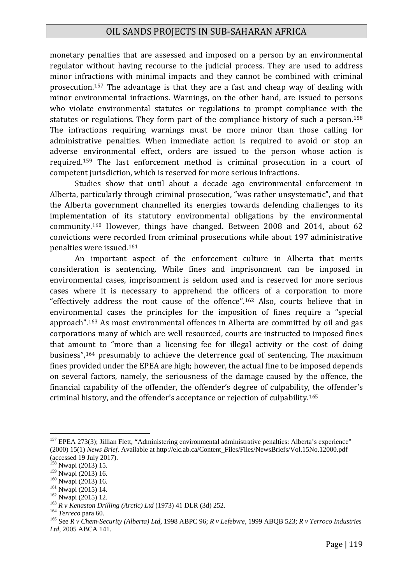monetary penalties that are assessed and imposed on a person by an environmental regulator without having recourse to the judicial process. They are used to address minor infractions with minimal impacts and they cannot be combined with criminal prosecution.[157](#page-22-0) The advantage is that they are a fast and cheap way of dealing with minor environmental infractions. Warnings, on the other hand, are issued to persons who violate environmental statutes or regulations to prompt compliance with the statutes or regulations. They form part of the compliance history of such a person.<sup>[158](#page-22-1)</sup> The infractions requiring warnings must be more minor than those calling for administrative penalties. When immediate action is required to avoid or stop an adverse environmental effect, orders are issued to the person whose action is required.[159](#page-22-2) The last enforcement method is criminal prosecution in a court of competent jurisdiction, which is reserved for more serious infractions.

Studies show that until about a decade ago environmental enforcement in Alberta, particularly through criminal prosecution, "was rather unsystematic", and that the Alberta government channelled its energies towards defending challenges to its implementation of its statutory environmental obligations by the environmental community.[160](#page-22-3) However, things have changed. Between 2008 and 2014, about 62 convictions were recorded from criminal prosecutions while about 197 administrative penalties were issued.[161](#page-22-4)

An important aspect of the enforcement culture in Alberta that merits consideration is sentencing. While fines and imprisonment can be imposed in environmental cases, imprisonment is seldom used and is reserved for more serious cases where it is necessary to apprehend the officers of a corporation to more "effectively address the root cause of the offence".[162](#page-22-5) Also, courts believe that in environmental cases the principles for the imposition of fines require a "special approach".[163](#page-22-6) As most environmental offences in Alberta are committed by oil and gas corporations many of which are well resourced, courts are instructed to imposed fines that amount to "more than a licensing fee for illegal activity or the cost of doing business",[164](#page-22-7) presumably to achieve the deterrence goal of sentencing. The maximum fines provided under the EPEA are high; however, the actual fine to be imposed depends on several factors, namely, the seriousness of the damage caused by the offence, the financial capability of the offender, the offender's degree of culpability, the offender's criminal history, and the offender's acceptance or rejection of culpability.[165](#page-22-8)

<span id="page-22-0"></span><sup>&</sup>lt;sup>157</sup> EPEA 273(3); Jillian Flett, "Administering environmental administrative penalties: Alberta's experience" (2000) 15(1) *News Brief*. Available at http://elc.ab.ca/Content\_Files/Files/NewsBriefs/Vol.15No.12000.pdf (accessed 19 July 2017).<br><sup>158</sup> Nwapi (2013) 15.<br><sup>159</sup> Nwapi (2013) 16. <u>.</u>

<span id="page-22-1"></span>

<span id="page-22-5"></span>

<span id="page-22-6"></span>

<span id="page-22-8"></span><span id="page-22-7"></span>

<span id="page-22-4"></span><span id="page-22-3"></span><span id="page-22-2"></span><sup>&</sup>lt;sup>160</sup> Nwapi (2013) 16.<br><sup>161</sup> Nwapi (2015) 14.<br><sup>162</sup> Nwapi (2015) 12.<br><sup>163</sup> R v Kenaston Drilling (Arctic) Ltd (1973) 41 DLR (3d) 252.<br><sup>164</sup> Terreco para 60.<br><sup>164</sup> Terreco para 60.<br><sup>164</sup> See R v Chem-Security (Alberta) Ltd *Ltd*, 2005 ABCA 141.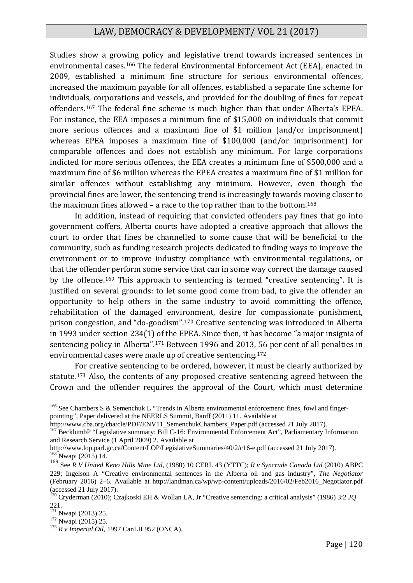Studies show a growing policy and legislative trend towards increased sentences in environmental cases.[166](#page-23-0) The federal Environmental Enforcement Act (EEA), enacted in 2009, established a minimum fine structure for serious environmental offences, increased the maximum payable for all offences, established a separate fine scheme for individuals, corporations and vessels, and provided for the doubling of fines for repeat offenders.[167](#page-23-1) The federal fine scheme is much higher than that under Alberta's EPEA. For instance, the EEA imposes a minimum fine of \$15,000 on individuals that commit more serious offences and a maximum fine of \$1 million (and/or imprisonment) whereas EPEA imposes a maximum fine of \$100,000 (and/or imprisonment) for comparable offences and does not establish any minimum. For large corporations indicted for more serious offences, the EEA creates a minimum fine of \$500,000 and a maximum fine of \$6 million whereas the EPEA creates a maximum fine of \$1 million for similar offences without establishing any minimum. However, even though the provincial fines are lower, the sentencing trend is increasingly towards moving closer to the maximum fines allowed – a race to the top rather than to the bottom.[168](#page-23-2)

In addition, instead of requiring that convicted offenders pay fines that go into government coffers, Alberta courts have adopted a creative approach that allows the court to order that fines be channelled to some cause that will be beneficial to the community, such as funding research projects dedicated to finding ways to improve the environment or to improve industry compliance with environmental regulations, or that the offender perform some service that can in some way correct the damage caused by the offence.[169](#page-23-3) This approach to sentencing is termed "creative sentencing". It is justified on several grounds: to let some good come from bad, to give the offender an opportunity to help others in the same industry to avoid committing the offence, rehabilitation of the damaged environment, desire for compassionate punishment, prison congestion, and "do-goodism".[170](#page-23-4) Creative sentencing was introduced in Alberta in 1993 under section 234(1) of the EPEA. Since then, it has become "a major insignia of sentencing policy in Alberta".[171](#page-23-5) Between 1996 and 2013, 56 per cent of all penalties in environmental cases were made up of creative sentencing.[172](#page-23-6)

For creative sentencing to be ordered, however, it must be clearly authorized by statute.[173](#page-23-7) Also, the contents of any proposed creative sentencing agreed between the Crown and the offender requires the approval of the Court, which must determine

<span id="page-23-0"></span><sup>&</sup>lt;sup>166</sup> See Chambers S & Semenchuk L "Trends in Alberta environmental enforcement: fines, fowl and fingerpointing", Paper delivered at the NEERLS Summit, Banff (2011) 11. Available at http://www.cba.org/cba/cle/PDF/ENV11 SemenchukChambers Paper.pdf (accessed 21 July 2017).

<span id="page-23-1"></span> $h^{167}$ BecklumbP "Legislative summary: Bill C-16: Environmental Enforcement Act", Parliamentary Information and Research Service (1 April 2009) 2. Available at

http://www.lop.parl.gc.ca/Content/LOP/LegislativeSummaries/40/2/c16-e.pdf (accessed 21 July 2017).<br><sup>168</sup> Nwapi (2015) 14.

<span id="page-23-3"></span><span id="page-23-2"></span><sup>169</sup> See *R V United Keno Hills Mine Ltd*, (1980) 10 CERL 43 (YTTC); *R v Syncrude Canada Ltd* (2010) ABPC 229; Ingelson A "Creative environmental sentences in the Alberta oil and gas industry", *The Negotiator* (February 2016) 2–6. Available at http://landman.ca/wp/wp-content/uploads/2016/02/Feb2016\_Negotiator.pdf

<sup>(</sup>accessed 21 July 2017). <sup>170</sup> Cryderman (2010); Czajkoski EH & Wollan LA, Jr "Creative sentencing: a critical analysis" (1986) 3:2 *JQ*

<span id="page-23-4"></span><sup>221.&</sup>lt;br> $171$  Nwapi (2013) 25.

<span id="page-23-7"></span><span id="page-23-6"></span><span id="page-23-5"></span><sup>171</sup> Nwapi (2013) 25. <sup>172</sup> Nwapi (2015) 25. <sup>173</sup> *R v Imperial Oil*, 1997 CanLII 952 (ONCA).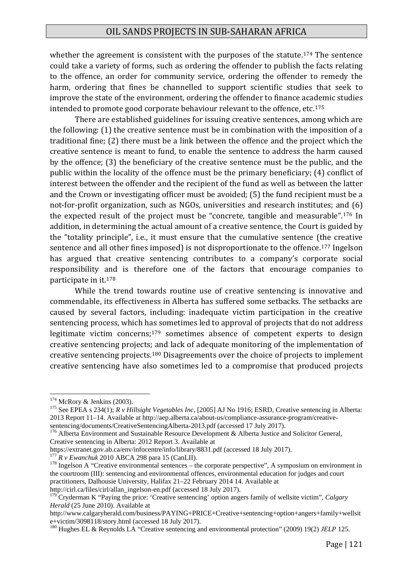whether the agreement is consistent with the purposes of the statute.<sup>[174](#page-24-0)</sup> The sentence could take a variety of forms, such as ordering the offender to publish the facts relating to the offence, an order for community service, ordering the offender to remedy the harm, ordering that fines be channelled to support scientific studies that seek to improve the state of the environment, ordering the offender to finance academic studies intended to promote good corporate behaviour relevant to the offence, etc.[175](#page-24-1)

There are established guidelines for issuing creative sentences, among which are the following: (1) the creative sentence must be in combination with the imposition of a traditional fine; (2) there must be a link between the offence and the project which the creative sentence is meant to fund, to enable the sentence to address the harm caused by the offence; (3) the beneficiary of the creative sentence must be the public, and the public within the locality of the offence must be the primary beneficiary; (4) conflict of interest between the offender and the recipient of the fund as well as between the latter and the Crown or investigating officer must be avoided; (5) the fund recipient must be a not-for-profit organization, such as NGOs, universities and research institutes; and (6) the expected result of the project must be "concrete, tangible and measurable".[176](#page-24-2) In addition, in determining the actual amount of a creative sentence, the Court is guided by the "totality principle", i.e., it must ensure that the cumulative sentence (the creative sentence and all other fines imposed) is not disproportionate to the offence.<sup>[177](#page-24-3)</sup> Ingelson has argued that creative sentencing contributes to a company's corporate social responsibility and is therefore one of the factors that encourage companies to participate in it.[178](#page-24-4)

While the trend towards routine use of creative sentencing is innovative and commendable, its effectiveness in Alberta has suffered some setbacks. The setbacks are caused by several factors, including: inadequate victim participation in the creative sentencing process, which has sometimes led to approval of projects that do not address legitimate victim concerns;[179](#page-24-5) sometimes absence of competent experts to design creative sentencing projects; and lack of adequate monitoring of the implementation of creative sentencing projects.[180](#page-24-6) Disagreements over the choice of projects to implement creative sentencing have also sometimes led to a compromise that produced projects

<span id="page-24-4"></span><span id="page-24-3"></span>

http://cirl.ca/files/cirl/allan\_ingelson-en.pdf (accessed 18 July 2017).

 $174$  McRory & Jenkins (2003).

<span id="page-24-1"></span><span id="page-24-0"></span><sup>&</sup>lt;sup>175</sup> See EPEA s 234(1); *R v Hillsight Vegetables Inc*, [2005] AJ No 1916; ESRD, Creative sentencing in Alberta: 2013 Report 11–14. Available at http://aep.alberta.ca/about-us/compliance-assurance-program/creative-

sentencing/documents/CreativeSentencingAlberta-2013.pdf (accessed 17 July 2017).<br><sup>176</sup> Alberta Environment and Sustainable Resource Development & Alberta Justice and Solicitor General,

<span id="page-24-2"></span>Creative sentencing in Alberta: 2012 Report 3. Available at

https://extranet.gov.ab.ca/env/infocentre/info/library/8831.pdf (accessed 18 July 2017).<br>
<sup>177</sup> R v Ewanchuk 2010 ABCA 298 para 15 (CanLII).<br>
<sup>178</sup> Ingelson A "Creative environmental sentences – the corporate perspective" the courtroom (III): sentencing and environmental offences, environmental education for judges and court practitioners, Dalhousie University, Halifax 21–22 February 2014 14. Available at

<span id="page-24-5"></span><sup>179</sup> Cryderman K "Paying the price: 'Creative sentencing' option angers family of wellsite victim", *Calgary Herald* (25 June 2010). Available at

http://www.calgaryherald.com/business/PAYING+PRICE+Creative+sentencing+option+angers+family+wellsit

<span id="page-24-6"></span><sup>&</sup>lt;sup>180</sup> Hughes EL & Reynolds LA "Creative sentencing and environmental protection" (2009) 19(2) *JELP* 125.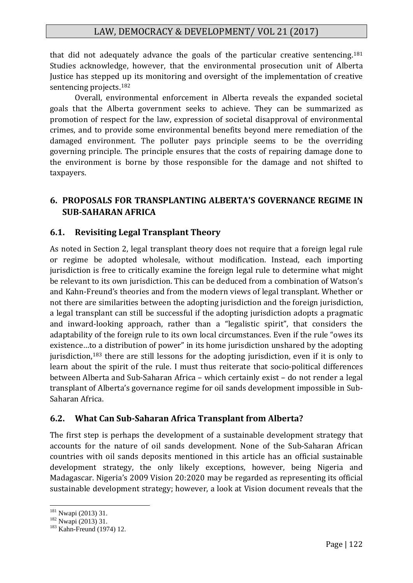that did not adequately advance the goals of the particular creative sentencing.[181](#page-25-0) Studies acknowledge, however, that the environmental prosecution unit of Alberta Justice has stepped up its monitoring and oversight of the implementation of creative sentencing projects.[182](#page-25-1)

Overall, environmental enforcement in Alberta reveals the expanded societal goals that the Alberta government seeks to achieve. They can be summarized as promotion of respect for the law, expression of societal disapproval of environmental crimes, and to provide some environmental benefits beyond mere remediation of the damaged environment. The polluter pays principle seems to be the overriding governing principle. The principle ensures that the costs of repairing damage done to the environment is borne by those responsible for the damage and not shifted to taxpayers.

# **6. PROPOSALS FOR TRANSPLANTING ALBERTA'S GOVERNANCE REGIME IN SUB-SAHARAN AFRICA**

## **6.1. Revisiting Legal Transplant Theory**

As noted in Section 2, legal transplant theory does not require that a foreign legal rule or regime be adopted wholesale, without modification. Instead, each importing jurisdiction is free to critically examine the foreign legal rule to determine what might be relevant to its own jurisdiction. This can be deduced from a combination of Watson's and Kahn-Freund's theories and from the modern views of legal transplant. Whether or not there are similarities between the adopting jurisdiction and the foreign jurisdiction, a legal transplant can still be successful if the adopting jurisdiction adopts a pragmatic and inward-looking approach, rather than a "legalistic spirit", that considers the adaptability of the foreign rule to its own local circumstances. Even if the rule "owes its existence…to a distribution of power" in its home jurisdiction unshared by the adopting jurisdiction,<sup>[183](#page-25-2)</sup> there are still lessons for the adopting jurisdiction, even if it is only to learn about the spirit of the rule. I must thus reiterate that socio-political differences between Alberta and Sub-Saharan Africa – which certainly exist – do not render a legal transplant of Alberta's governance regime for oil sands development impossible in Sub-Saharan Africa.

### **6.2. What Can Sub-Saharan Africa Transplant from Alberta?**

The first step is perhaps the development of a sustainable development strategy that accounts for the nature of oil sands development. None of the Sub-Saharan African countries with oil sands deposits mentioned in this article has an official sustainable development strategy, the only likely exceptions, however, being Nigeria and Madagascar. Nigeria's 2009 Vision 20:2020 may be regarded as representing its official sustainable development strategy; however, a look at Vision document reveals that the

<span id="page-25-0"></span><sup>&</sup>lt;sup>181</sup> Nwapi (2013) 31.

<span id="page-25-2"></span><span id="page-25-1"></span><sup>&</sup>lt;sup>182</sup> Nwapi (2013) 31.<br><sup>183</sup> Kahn-Freund (1974) 12.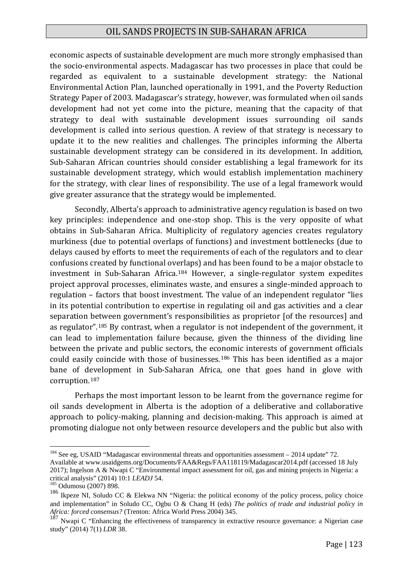economic aspects of sustainable development are much more strongly emphasised than the socio-environmental aspects. Madagascar has two processes in place that could be regarded as equivalent to a sustainable development strategy: the National Environmental Action Plan, launched operationally in 1991, and the Poverty Reduction Strategy Paper of 2003. Madagascar's strategy, however, was formulated when oil sands development had not yet come into the picture, meaning that the capacity of that strategy to deal with sustainable development issues surrounding oil sands development is called into serious question. A review of that strategy is necessary to update it to the new realities and challenges. The principles informing the Alberta sustainable development strategy can be considered in its development. In addition, Sub-Saharan African countries should consider establishing a legal framework for its sustainable development strategy, which would establish implementation machinery for the strategy, with clear lines of responsibility. The use of a legal framework would give greater assurance that the strategy would be implemented.

Secondly, Alberta's approach to administrative agency regulation is based on two key principles: independence and one-stop shop. This is the very opposite of what obtains in Sub-Saharan Africa. Multiplicity of regulatory agencies creates regulatory murkiness (due to potential overlaps of functions) and investment bottlenecks (due to delays caused by efforts to meet the requirements of each of the regulators and to clear confusions created by functional overlaps) and has been found to be a major obstacle to investment in Sub-Saharan Africa.<sup>[184](#page-26-0)</sup> However, a single-regulator system expedites project approval processes, eliminates waste, and ensures a single-minded approach to regulation – factors that boost investment. The value of an independent regulator "lies in its potential contribution to expertise in regulating oil and gas activities and a clear separation between government's responsibilities as proprietor [of the resources] and as regulator".[185](#page-26-1) By contrast, when a regulator is not independent of the government, it can lead to implementation failure because, given the thinness of the dividing line between the private and public sectors, the economic interests of government officials could easily coincide with those of businesses.[186](#page-26-2) This has been identified as a major bane of development in Sub-Saharan Africa, one that goes hand in glove with corruption.[187](#page-26-3)

Perhaps the most important lesson to be learnt from the governance regime for oil sands development in Alberta is the adoption of a deliberative and collaborative approach to policy-making, planning and decision-making. This approach is aimed at promoting dialogue not only between resource developers and the public but also with

<span id="page-26-0"></span><sup>&</sup>lt;sup>184</sup> See eg, USAID "Madagascar environmental threats and opportunities assessment  $-$  2014 update" 72. Available at www.usaidgems.org/Documents/FAA&Regs/FAA118119/Madagascar2014.pdf (accessed 18 July 2017); Ingelson A & Nwapi C "Environmental impact assessment for oil, gas and mining projects in Nigeria: a

<span id="page-26-1"></span>critical analysis" (2014) 10:1 *LEADJ* 54. <sup>185</sup> Odumosu (2007) 898.

<span id="page-26-2"></span><sup>&</sup>lt;sup>186</sup> Ikpeze NI, Soludo CC & Elekwa NN "Nigeria: the political economy of the policy process, policy choice and implementation" in Soludo CC, Ogbu O & Chang H (eds) *The politics of trade and industrial policy in Africa: forced consensus?* (Trenton: Africa World Press 2004) 345.

<span id="page-26-3"></span> $187$  Nwapi C "Enhancing the effectiveness of transparency in extractive resource governance: a Nigerian case study" (2014) 7(1) *LDR* 38.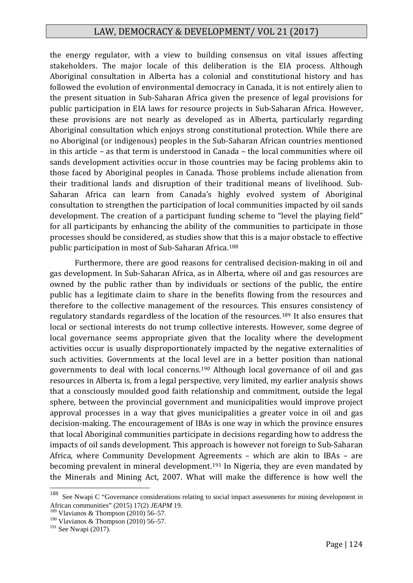the energy regulator, with a view to building consensus on vital issues affecting stakeholders. The major locale of this deliberation is the EIA process. Although Aboriginal consultation in Alberta has a colonial and constitutional history and has followed the evolution of environmental democracy in Canada, it is not entirely alien to the present situation in Sub-Saharan Africa given the presence of legal provisions for public participation in EIA laws for resource projects in Sub-Saharan Africa. However, these provisions are not nearly as developed as in Alberta, particularly regarding Aboriginal consultation which enjoys strong constitutional protection. While there are no Aboriginal (or indigenous) peoples in the Sub-Saharan African countries mentioned in this article – as that term is understood in Canada – the local communities where oil sands development activities occur in those countries may be facing problems akin to those faced by Aboriginal peoples in Canada. Those problems include alienation from their traditional lands and disruption of their traditional means of livelihood. Sub-Saharan Africa can learn from Canada's highly evolved system of Aboriginal consultation to strengthen the participation of local communities impacted by oil sands development. The creation of a participant funding scheme to "level the playing field" for all participants by enhancing the ability of the communities to participate in those processes should be considered, as studies show that this is a major obstacle to effective public participation in most of Sub-Saharan Africa.[188](#page-27-0)

Furthermore, there are good reasons for centralised decision-making in oil and gas development. In Sub-Saharan Africa, as in Alberta, where oil and gas resources are owned by the public rather than by individuals or sections of the public, the entire public has a legitimate claim to share in the benefits flowing from the resources and therefore to the collective management of the resources. This ensures consistency of regulatory standards regardless of the location of the resources.[189](#page-27-1) It also ensures that local or sectional interests do not trump collective interests. However, some degree of local governance seems appropriate given that the locality where the development activities occur is usually disproportionately impacted by the negative externalities of such activities. Governments at the local level are in a better position than national governments to deal with local concerns.[190](#page-27-2) Although local governance of oil and gas resources in Alberta is, from a legal perspective, very limited, my earlier analysis shows that a consciously moulded good faith relationship and commitment, outside the legal sphere, between the provincial government and municipalities would improve project approval processes in a way that gives municipalities a greater voice in oil and gas decision-making. The encouragement of IBAs is one way in which the province ensures that local Aboriginal communities participate in decisions regarding how to address the impacts of oil sands development. This approach is however not foreign to Sub-Saharan Africa, where Community Development Agreements – which are akin to IBAs – are becoming prevalent in mineral development.[191](#page-27-3) In Nigeria, they are even mandated by the Minerals and Mining Act, 2007. What will make the difference is how well the

<span id="page-27-0"></span><sup>&</sup>lt;sup>188</sup> See Nwapi C "Governance considerations relating to social impact assessments for mining development in African communities" (2015) 17(2) *JEAPM* 19.

 $189$  Vlavianos & Thompson (2010) 56–57.

<span id="page-27-2"></span><span id="page-27-1"></span><sup>&</sup>lt;sup>190</sup> Vlavianos & Thompson (2010) 56–57.

<span id="page-27-3"></span> $191$  See Nwapi (2017).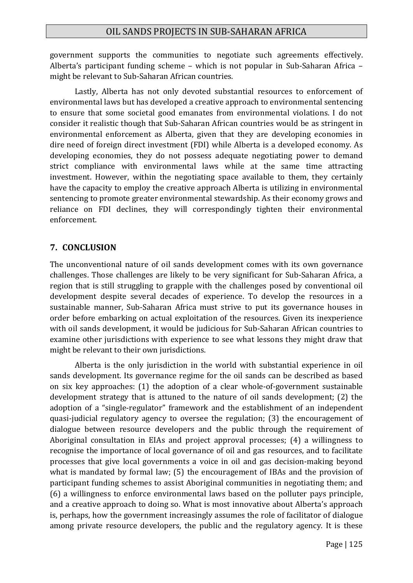government supports the communities to negotiate such agreements effectively. Alberta's participant funding scheme – which is not popular in Sub-Saharan Africa – might be relevant to Sub-Saharan African countries.

Lastly, Alberta has not only devoted substantial resources to enforcement of environmental laws but has developed a creative approach to environmental sentencing to ensure that some societal good emanates from environmental violations. I do not consider it realistic though that Sub-Saharan African countries would be as stringent in environmental enforcement as Alberta, given that they are developing economies in dire need of foreign direct investment (FDI) while Alberta is a developed economy. As developing economies, they do not possess adequate negotiating power to demand strict compliance with environmental laws while at the same time attracting investment. However, within the negotiating space available to them, they certainly have the capacity to employ the creative approach Alberta is utilizing in environmental sentencing to promote greater environmental stewardship. As their economy grows and reliance on FDI declines, they will correspondingly tighten their environmental enforcement.

### **7. CONCLUSION**

The unconventional nature of oil sands development comes with its own governance challenges. Those challenges are likely to be very significant for Sub-Saharan Africa, a region that is still struggling to grapple with the challenges posed by conventional oil development despite several decades of experience. To develop the resources in a sustainable manner, Sub-Saharan Africa must strive to put its governance houses in order before embarking on actual exploitation of the resources. Given its inexperience with oil sands development, it would be judicious for Sub-Saharan African countries to examine other jurisdictions with experience to see what lessons they might draw that might be relevant to their own jurisdictions.

Alberta is the only jurisdiction in the world with substantial experience in oil sands development. Its governance regime for the oil sands can be described as based on six key approaches: (1) the adoption of a clear whole-of-government sustainable development strategy that is attuned to the nature of oil sands development; (2) the adoption of a "single-regulator" framework and the establishment of an independent quasi-judicial regulatory agency to oversee the regulation; (3) the encouragement of dialogue between resource developers and the public through the requirement of Aboriginal consultation in EIAs and project approval processes; (4) a willingness to recognise the importance of local governance of oil and gas resources, and to facilitate processes that give local governments a voice in oil and gas decision-making beyond what is mandated by formal law; (5) the encouragement of IBAs and the provision of participant funding schemes to assist Aboriginal communities in negotiating them; and (6) a willingness to enforce environmental laws based on the polluter pays principle, and a creative approach to doing so. What is most innovative about Alberta's approach is, perhaps, how the government increasingly assumes the role of facilitator of dialogue among private resource developers, the public and the regulatory agency. It is these